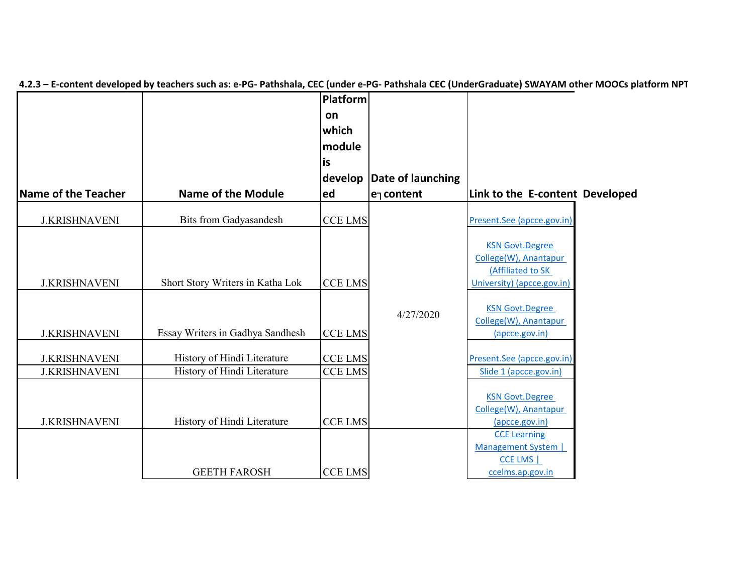|                      |                                  | Platform       |                   |                                                 |  |
|----------------------|----------------------------------|----------------|-------------------|-------------------------------------------------|--|
|                      |                                  | on             |                   |                                                 |  |
|                      |                                  | which          |                   |                                                 |  |
|                      |                                  | module         |                   |                                                 |  |
|                      |                                  | is             |                   |                                                 |  |
|                      |                                  | develop        | Date of launching |                                                 |  |
| Name of the Teacher  | <b>Name of the Module</b>        | ed             | $e1$ content      | Link to the E-content Developed                 |  |
| <b>J.KRISHNAVENI</b> | <b>Bits from Gadyasandesh</b>    | <b>CCE LMS</b> |                   | Present.See (apcce.gov.in)                      |  |
|                      |                                  |                |                   | <b>KSN Govt.Degree</b>                          |  |
|                      |                                  |                |                   | College(W), Anantapur                           |  |
|                      |                                  |                |                   | (Affiliated to SK                               |  |
| <b>J.KRISHNAVENI</b> | Short Story Writers in Katha Lok | <b>CCE LMS</b> |                   | University) (apcce.gov.in)                      |  |
|                      |                                  |                |                   |                                                 |  |
|                      |                                  |                | 4/27/2020         | <b>KSN Govt.Degree</b><br>College(W), Anantapur |  |
| <b>J.KRISHNAVENI</b> | Essay Writers in Gadhya Sandhesh | <b>CCE LMS</b> |                   | (apcce.gov.in)                                  |  |
| <b>J.KRISHNAVENI</b> | History of Hindi Literature      | <b>CCE LMS</b> |                   | Present.See (apcce.gov.in)                      |  |
| <b>J.KRISHNAVENI</b> | History of Hindi Literature      | <b>CCE LMS</b> |                   | Slide 1 (apcce.gov.in)                          |  |
|                      |                                  |                |                   |                                                 |  |
|                      |                                  |                |                   | <b>KSN Govt.Degree</b>                          |  |
| <b>J.KRISHNAVENI</b> | History of Hindi Literature      | <b>CCE LMS</b> |                   | College(W), Anantapur<br>(apcce.gov.in)         |  |
|                      |                                  |                |                   | <b>CCE Learning</b>                             |  |
|                      |                                  |                |                   | Management System                               |  |
|                      |                                  |                |                   | CCE LMS                                         |  |
|                      | <b>GEETH FAROSH</b>              | <b>CCE LMS</b> |                   | ccelms.ap.gov.in                                |  |

4.2.3 - E-content developed by teachers such as: e-PG- Pathshala, CEC (under e-PG- Pathshala CEC (UnderGraduate) SWAYAM other MOOCs platform NPT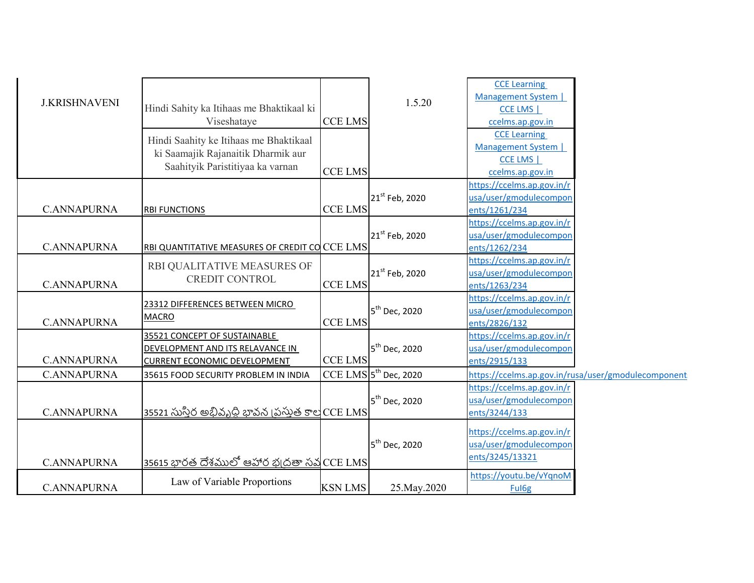| <b>J.KRISHNAVENI</b> | Hindi Sahity ka Itihaas me Bhaktikaal ki<br>Viseshataye                                                          | <b>CCE LMS</b> | 1.5.20                        | <b>CCE Learning</b><br>Management System  <br>CCE LMS  <br>ccelms.ap.gov.in       |
|----------------------|------------------------------------------------------------------------------------------------------------------|----------------|-------------------------------|-----------------------------------------------------------------------------------|
|                      | Hindi Saahity ke Itihaas me Bhaktikaal<br>ki Saamajik Rajanaitik Dharmik aur<br>Saahityik Paristitiyaa ka varnan | <b>CCE LMS</b> |                               | <b>CCE Learning</b><br>Management System  <br>CCE LMS  <br>ccelms.ap.gov.in       |
| <b>C.ANNAPURNA</b>   | <b>RBI FUNCTIONS</b>                                                                                             | <b>CCE LMS</b> | 21 <sup>st</sup> Feb, 2020    | https://ccelms.ap.gov.in/r<br>usa/user/gmodulecompor<br>ents/1261/234             |
| <b>C.ANNAPURNA</b>   | RBI QUANTITATIVE MEASURES OF CREDIT CO CCE LMS                                                                   |                | 21 <sup>st</sup> Feb, 2020    | https://ccelms.ap.gov.in/r<br>usa/user/gmodulecompon<br>ents/1262/234             |
| <b>C.ANNAPURNA</b>   | RBI QUALITATIVE MEASURES OF<br><b>CREDIT CONTROL</b>                                                             | <b>CCE LMS</b> | 21 <sup>st</sup> Feb, 2020    | https://ccelms.ap.gov.in/r<br>usa/user/gmodulecompon<br>ents/1263/234             |
| <b>C.ANNAPURNA</b>   | 23312 DIFFERENCES BETWEEN MICRO<br><b>MACRO</b>                                                                  | <b>CCE LMS</b> | 5 <sup>th</sup> Dec, 2020     | https://ccelms.ap.gov.in/r<br>usa/user/gmodulecompon<br>ents/2826/132             |
| <b>C.ANNAPURNA</b>   | 35521 CONCEPT OF SUSTAINABLE<br>DEVELOPMENT AND ITS RELAVANCE IN<br><b>CURRENT ECONOMIC DEVELOPMENT</b>          | <b>CCE LMS</b> | 5 <sup>th</sup> Dec, 2020     | https://ccelms.ap.gov.in/r<br>usa/user/gmodulecompon<br>ents/2915/133             |
| <b>C.ANNAPURNA</b>   | 35615 FOOD SECURITY PROBLEM IN INDIA                                                                             |                | $CCE$ LMS $ 5^{th}$ Dec, 2020 | https://ccelms.ap.gov.in/rusa/user/gmodulecomponent<br>https://ccelms.ap.gov.in/r |
| <b>C.ANNAPURNA</b>   | <u>35521 సుస్తిర అభివృధ్ధి భావన (పస్తుత కాల</u> CCE LMS                                                          |                | 5 <sup>th</sup> Dec, 2020     | usa/user/gmodulecompon<br>ents/3244/133                                           |
| <b>C.ANNAPURNA</b>   | <u>35615 భారత దేశములో ఆహార భ్రదతా సవ</u> CCE LMS                                                                 |                | 5 <sup>th</sup> Dec, 2020     | https://ccelms.ap.gov.in/r<br>usa/user/gmodulecompon<br>ents/3245/13321           |
| <b>C.ANNAPURNA</b>   | Law of Variable Proportions                                                                                      | <b>KSN LMS</b> | 25. May . 2020                | https://youtu.be/vYqnoM<br>Ful <sub>6g</sub>                                      |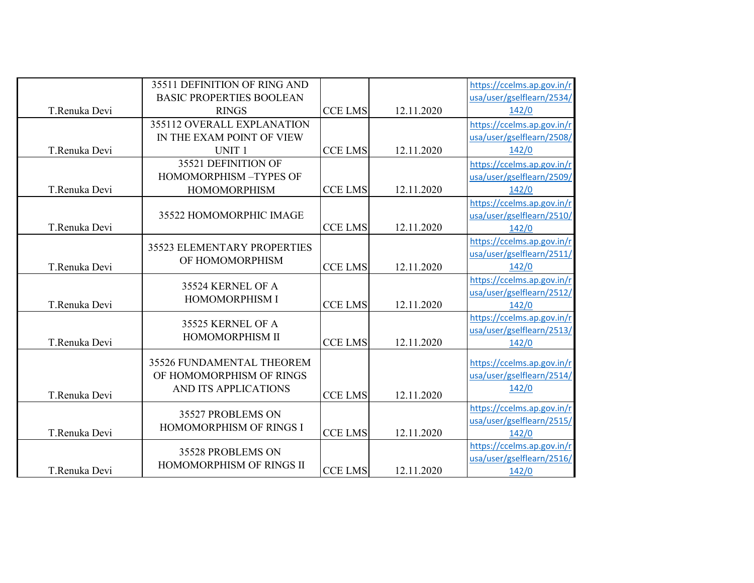|               | 35511 DEFINITION OF RING AND    |                |            |                            |
|---------------|---------------------------------|----------------|------------|----------------------------|
|               |                                 |                |            | https://ccelms.ap.gov.in/r |
|               | <b>BASIC PROPERTIES BOOLEAN</b> |                |            | usa/user/gselflearn/2534/  |
| T.Renuka Devi | <b>RINGS</b>                    | <b>CCE LMS</b> | 12.11.2020 | 142/0                      |
|               | 355112 OVERALL EXPLANATION      |                |            | https://ccelms.ap.gov.in/r |
|               | IN THE EXAM POINT OF VIEW       |                |            | usa/user/gselflearn/2508/  |
| T.Renuka Devi | UNIT <sub>1</sub>               | <b>CCE LMS</b> | 12.11.2020 | 142/0                      |
|               | 35521 DEFINITION OF             |                |            | https://ccelms.ap.gov.in/r |
|               | HOMOMORPHISM-TYPES OF           |                |            | usa/user/gselflearn/2509/  |
| T.Renuka Devi | <b>HOMOMORPHISM</b>             | <b>CCE LMS</b> | 12.11.2020 | 142/0                      |
|               |                                 |                |            | https://ccelms.ap.gov.in/r |
|               | 35522 HOMOMORPHIC IMAGE         |                |            | usa/user/gselflearn/2510/  |
| T.Renuka Devi |                                 | <b>CCE LMS</b> | 12.11.2020 | 142/0                      |
|               | 35523 ELEMENTARY PROPERTIES     |                |            | https://ccelms.ap.gov.in/r |
|               |                                 |                |            | usa/user/gselflearn/2511/  |
| T.Renuka Devi | OF HOMOMORPHISM                 | <b>CCE LMS</b> | 12.11.2020 | 142/0                      |
|               | 35524 KERNEL OF A               |                |            | https://ccelms.ap.gov.in/r |
|               |                                 |                |            | usa/user/gselflearn/2512/  |
| T.Renuka Devi | <b>HOMOMORPHISM I</b>           | <b>CCE LMS</b> | 12.11.2020 | 142/0                      |
|               | 35525 KERNEL OF A               |                |            | https://ccelms.ap.gov.in/r |
|               | HOMOMORPHISM II                 |                |            | usa/user/gselflearn/2513/  |
| T.Renuka Devi |                                 | <b>CCE LMS</b> | 12.11.2020 | 142/0                      |
|               | 35526 FUNDAMENTAL THEOREM       |                |            | https://ccelms.ap.gov.in/r |
|               | OF HOMOMORPHISM OF RINGS        |                |            | usa/user/gselflearn/2514/  |
|               | AND ITS APPLICATIONS            |                |            | 142/0                      |
| T.Renuka Devi |                                 | <b>CCE LMS</b> | 12.11.2020 |                            |
|               | 35527 PROBLEMS ON               |                |            | https://ccelms.ap.gov.in/r |
|               | HOMOMORPHISM OF RINGS I         |                |            | usa/user/gselflearn/2515/  |
| T.Renuka Devi |                                 | <b>CCE LMS</b> | 12.11.2020 | 142/0                      |
|               | 35528 PROBLEMS ON               |                |            | https://ccelms.ap.gov.in/r |
|               | HOMOMORPHISM OF RINGS II        |                |            | usa/user/gselflearn/2516/  |
| T.Renuka Devi |                                 | <b>CCE LMS</b> | 12.11.2020 | 142/0                      |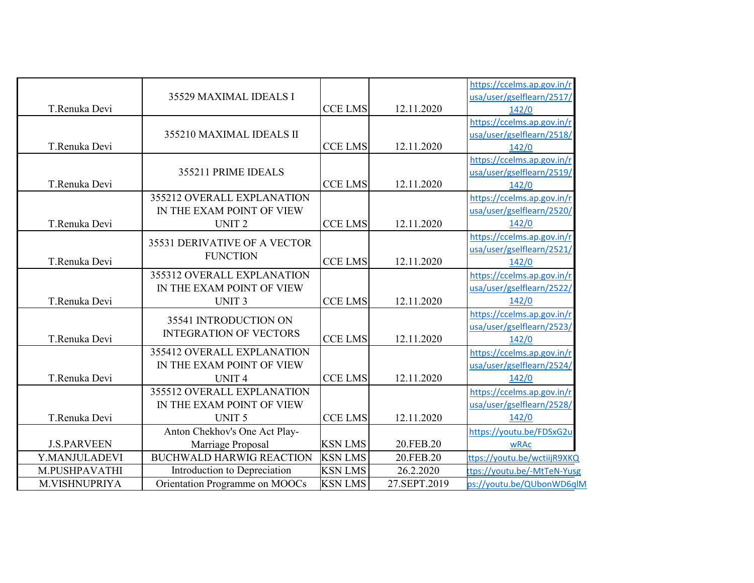|                    | 35529 MAXIMAL IDEALS I          |                |              | https://ccelms.ap.gov.in/r<br>usa/user/gselflearn/2517/ |
|--------------------|---------------------------------|----------------|--------------|---------------------------------------------------------|
| T.Renuka Devi      |                                 | <b>CCE LMS</b> | 12.11.2020   | 142/0                                                   |
|                    |                                 |                |              | https://ccelms.ap.gov.in/r                              |
|                    | 355210 MAXIMAL IDEALS II        |                |              | usa/user/gselflearn/2518/                               |
| T.Renuka Devi      |                                 | <b>CCE LMS</b> | 12.11.2020   | 142/0                                                   |
|                    |                                 |                |              | https://ccelms.ap.gov.in/r                              |
|                    | 355211 PRIME IDEALS             |                |              | usa/user/gselflearn/2519/                               |
| T.Renuka Devi      |                                 | <b>CCE LMS</b> | 12.11.2020   | 142/0                                                   |
|                    | 355212 OVERALL EXPLANATION      |                |              | https://ccelms.ap.gov.in/r                              |
|                    | IN THE EXAM POINT OF VIEW       |                |              | usa/user/gselflearn/2520/                               |
| T.Renuka Devi      | UNIT <sub>2</sub>               | <b>CCE LMS</b> | 12.11.2020   | 142/0                                                   |
|                    | 35531 DERIVATIVE OF A VECTOR    |                |              | https://ccelms.ap.gov.in/r                              |
|                    | <b>FUNCTION</b>                 |                |              | usa/user/gselflearn/2521/                               |
| T.Renuka Devi      |                                 | <b>CCE LMS</b> | 12.11.2020   | 142/0                                                   |
|                    | 355312 OVERALL EXPLANATION      |                |              | https://ccelms.ap.gov.in/r                              |
|                    | IN THE EXAM POINT OF VIEW       |                |              | usa/user/gselflearn/2522/                               |
| T.Renuka Devi      | <b>UNIT3</b>                    | <b>CCE LMS</b> | 12.11.2020   | 142/0                                                   |
|                    | 35541 INTRODUCTION ON           |                |              | https://ccelms.ap.gov.in/r                              |
|                    | <b>INTEGRATION OF VECTORS</b>   |                |              | usa/user/gselflearn/2523/                               |
| T.Renuka Devi      |                                 | <b>CCE LMS</b> | 12.11.2020   | 142/0                                                   |
|                    | 355412 OVERALL EXPLANATION      |                |              | https://ccelms.ap.gov.in/r                              |
|                    | IN THE EXAM POINT OF VIEW       |                |              | usa/user/gselflearn/2524/                               |
| T.Renuka Devi      | <b>UNIT4</b>                    | <b>CCE LMS</b> | 12.11.2020   | 142/0                                                   |
|                    | 355512 OVERALL EXPLANATION      |                |              | https://ccelms.ap.gov.in/r                              |
|                    | IN THE EXAM POINT OF VIEW       |                |              | usa/user/gselflearn/2528/                               |
| T.Renuka Devi      | UNIT <sub>5</sub>               | <b>CCELMS</b>  | 12.11.2020   | 142/0                                                   |
|                    | Anton Chekhov's One Act Play-   |                |              | https://youtu.be/FDSxG2u                                |
| <b>J.S.PARVEEN</b> | Marriage Proposal               | <b>KSN LMS</b> | 20.FEB.20    | <b>wRAc</b>                                             |
| Y.MANJULADEVI      | <b>BUCHWALD HARWIG REACTION</b> | <b>KSN LMS</b> | 20.FEB.20    | ttps://youtu.be/wctiijR9XKQ                             |
| M.PUSHPAVATHI      | Introduction to Depreciation    | <b>KSN LMS</b> | 26.2.2020    | ttps://youtu.be/-MtTeN-Yusg                             |
| M.VISHNUPRIYA      | Orientation Programme on MOOCs  | <b>KSN LMS</b> | 27.SEPT.2019 | ps://youtu.be/QUbonWD6qlM                               |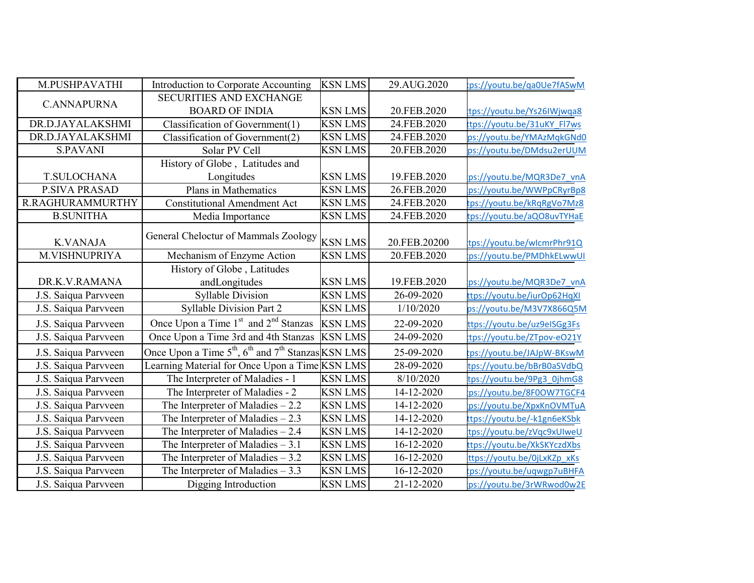| M.PUSHPAVATHI        | Introduction to Corporate Accounting                              | <b>KSN LMS</b> | 29.AUG.2020  | :ps://youtu.be/ga0Ue7fASwM  |
|----------------------|-------------------------------------------------------------------|----------------|--------------|-----------------------------|
| <b>C.ANNAPURNA</b>   | <b>SECURITIES AND EXCHANGE</b>                                    |                |              |                             |
|                      | <b>BOARD OF INDIA</b>                                             | <b>KSN LMS</b> | 20.FEB.2020  | tps://youtu.be/Ys26IWjwqa8  |
| DR.D.JAYALAKSHMI     | Classification of Government(1)                                   | <b>KSN LMS</b> | 24.FEB.2020  | tps://youtu.be/31uKY_Fl7ws  |
| DR.D.JAYALAKSHMI     | Classification of Government(2)                                   | <b>KSN LMS</b> | 24.FEB.2020  | ps://youtu.be/YMAzMqkGNd0   |
| <b>S.PAVANI</b>      | Solar PV Cell                                                     | <b>KSN LMS</b> | 20.FEB.2020  | ps://youtu.be/DMdsu2erUUM   |
|                      | History of Globe, Latitudes and                                   |                |              |                             |
| <b>T.SULOCHANA</b>   | Longitudes                                                        | <b>KSN LMS</b> | 19.FEB.2020  | ps://youtu.be/MQR3De7 vnA   |
| <b>P.SIVA PRASAD</b> | Plans in Mathematics                                              | <b>KSN LMS</b> | 26.FEB.2020  | ps://youtu.be/WWPpCRyrBp8   |
| R.RAGHURAMMURTHY     | <b>Constitutional Amendment Act</b>                               | <b>KSN LMS</b> | 24.FEB.2020  | tps://youtu.be/kRqRgVo7Mz8  |
| <b>B.SUNITHA</b>     | Media Importance                                                  | <b>KSN LMS</b> | 24.FEB.2020  | tps://youtu.be/aQO8uvTYHaE  |
|                      | General Cheloctur of Mammals Zoology                              |                |              |                             |
| <b>K.VANAJA</b>      |                                                                   | <b>KSN LMS</b> | 20.FEB.20200 | tps://youtu.be/wlcmrPhr91Q  |
| M.VISHNUPRIYA        | Mechanism of Enzyme Action                                        | <b>KSN LMS</b> | 20.FEB.2020  | ps://youtu.be/PMDhkELwwUI   |
|                      | History of Globe, Latitudes                                       |                |              |                             |
| DR.K.V.RAMANA        | andLongitudes                                                     | <b>KSN LMS</b> | 19.FEB.2020  | ps://youtu.be/MQR3De7 vnA   |
| J.S. Saiqua Parvveen | <b>Syllable Division</b>                                          | <b>KSN LMS</b> | 26-09-2020   | ttps://youtu.be/iurOp62HqXI |
| J.S. Saiqua Parvveen | <b>Syllable Division Part 2</b>                                   | <b>KSN LMS</b> | 1/10/2020    | ps://youtu.be/M3V7X866Q5M   |
| J.S. Saiqua Parvveen | Once Upon a Time 1 <sup>st</sup> and 2 <sup>nd</sup> Stanzas      | <b>KSN LMS</b> | 22-09-2020   | ttps://youtu.be/uz9eISGg3Fs |
| J.S. Saiqua Parvveen | Once Upon a Time 3rd and 4th Stanzas                              | <b>KSN LMS</b> | 24-09-2020   | tps://youtu.be/ZTpov-eO21Y  |
| J.S. Saiqua Parvveen | Once Upon a Time $5^{th}$ , $6^{th}$ and $7^{th}$ Stanzas KSN LMS |                | 25-09-2020   | tps://youtu.be/JAJpW-BKswM  |
| J.S. Saiqua Parvveen | Learning Material for Once Upon a Time KSN LMS                    |                | 28-09-2020   | tps://youtu.be/bBrB0aSVdbQ  |
| J.S. Saiqua Parvveen | The Interpreter of Maladies - 1                                   | <b>KSN LMS</b> | 8/10/2020    | tps://youtu.be/9Pg3_0jhmG8  |
| J.S. Saiqua Parvveen | The Interpreter of Maladies - 2                                   | <b>KSN LMS</b> | 14-12-2020   | ps://youtu.be/8F0OW7TGCF4   |
| J.S. Saiqua Parvveen | The Interpreter of Maladies $-2.2$                                | <b>KSN LMS</b> | 14-12-2020   | ps://youtu.be/XpxKnOVMTuA   |
| J.S. Saiqua Parvveen | The Interpreter of Maladies $-2.3$                                | <b>KSN LMS</b> | 14-12-2020   | ttps://youtu.be/-k1gn6eKSbk |
| J.S. Saiqua Parvveen | The Interpreter of Maladies $-2.4$                                | <b>KSN LMS</b> | 14-12-2020   | tps://youtu.be/zVqc9xUIweU  |
| J.S. Saiqua Parvveen | The Interpreter of Maladies $-3.1$                                | <b>KSN LMS</b> | 16-12-2020   | ttps://youtu.be/XkSKYczdXbs |
| J.S. Saiqua Parvveen | The Interpreter of Maladies $-3.2$                                | <b>KSN LMS</b> | 16-12-2020   | ttps://youtu.be/0jLxKZp xKs |
| J.S. Saiqua Parvveen | The Interpreter of Maladies $-3.3$                                | <b>KSN LMS</b> | 16-12-2020   | tps://youtu.be/uqwgp7uBHFA  |
| J.S. Saiqua Parvveen | Digging Introduction                                              | <b>KSN LMS</b> | 21-12-2020   | ps://youtu.be/3rWRwod0w2E   |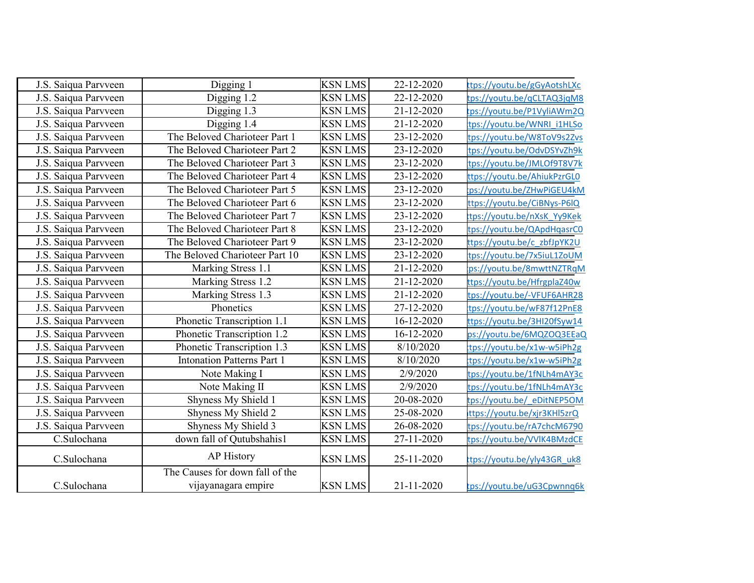| J.S. Saiqua Parvveen | Digging 1                         | <b>KSN LMS</b> | 22-12-2020 | ttps://youtu.be/gGyAotshLXc |
|----------------------|-----------------------------------|----------------|------------|-----------------------------|
| J.S. Saiqua Parvveen | Digging 1.2                       | <b>KSN LMS</b> | 22-12-2020 | tps://youtu.be/qCLTAQ3jqM8  |
| J.S. Saiqua Parvveen | Digging 1.3                       | <b>KSN LMS</b> | 21-12-2020 | tps://youtu.be/P1VyliAWm2Q  |
| J.S. Saiqua Parvveen | Digging 1.4                       | <b>KSN LMS</b> | 21-12-2020 | tps://youtu.be/WNRI i1HLSo  |
| J.S. Saiqua Parvveen | The Beloved Charioteer Part 1     | <b>KSN LMS</b> | 23-12-2020 | tps://youtu.be/W8ToV9s2Zvs  |
| J.S. Saiqua Parvveen | The Beloved Charioteer Part 2     | <b>KSN LMS</b> | 23-12-2020 | tps://youtu.be/OdvDSYvZh9k  |
| J.S. Saiqua Parvveen | The Beloved Charioteer Part 3     | <b>KSN LMS</b> | 23-12-2020 | tps://youtu.be/JMLOf9T8V7k  |
| J.S. Saiqua Parvveen | The Beloved Charioteer Part 4     | <b>KSN LMS</b> | 23-12-2020 | ttps://youtu.be/AhiukPzrGL0 |
| J.S. Saiqua Parvveen | The Beloved Charioteer Part 5     | <b>KSN LMS</b> | 23-12-2020 | ps://youtu.be/ZHwPiGEU4kM   |
| J.S. Saiqua Parvveen | The Beloved Charioteer Part 6     | <b>KSN LMS</b> | 23-12-2020 | ttps://youtu.be/CiBNys-P6IQ |
| J.S. Saiqua Parvveen | The Beloved Charioteer Part 7     | <b>KSN LMS</b> | 23-12-2020 | tps://youtu.be/nXsK Yy9Kek  |
| J.S. Saiqua Parvveen | The Beloved Charioteer Part 8     | <b>KSN LMS</b> | 23-12-2020 | tps://youtu.be/QApdHqasrC0  |
| J.S. Saiqua Parvveen | The Beloved Charioteer Part 9     | <b>KSN LMS</b> | 23-12-2020 | ttps://youtu.be/c zbfJpYK2U |
| J.S. Saiqua Parvveen | The Beloved Charioteer Part 10    | <b>KSN LMS</b> | 23-12-2020 | tps://youtu.be/7x5iuL1ZoUM  |
| J.S. Saiqua Parvveen | Marking Stress 1.1                | <b>KSN LMS</b> | 21-12-2020 | :ps://youtu.be/8mwttNZTRqM  |
| J.S. Saiqua Parvveen | Marking Stress 1.2                | <b>KSN LMS</b> | 21-12-2020 | ttps://youtu.be/HfrgplaZ40w |
| J.S. Saiqua Parvveen | Marking Stress 1.3                | <b>KSN LMS</b> | 21-12-2020 | tps://youtu.be/-VFUF6AHR28  |
| J.S. Saiqua Parvveen | Phonetics                         | <b>KSN LMS</b> | 27-12-2020 | tps://youtu.be/wF87f12PnE8  |
| J.S. Saiqua Parvveen | Phonetic Transcription 1.1        | <b>KSN LMS</b> | 16-12-2020 | ttps://youtu.be/3HI20fSyw14 |
| J.S. Saiqua Parvveen | Phonetic Transcription 1.2        | <b>KSN LMS</b> | 16-12-2020 | ps://youtu.be/6MQZOQ3EEaQ   |
| J.S. Saiqua Parvveen | Phonetic Transcription 1.3        | <b>KSN LMS</b> | 8/10/2020  | tps://youtu.be/x1w-w5iPh2g  |
| J.S. Saiqua Parvveen | <b>Intonation Patterns Part 1</b> | <b>KSN LMS</b> | 8/10/2020  | tps://youtu.be/x1w-w5iPh2g  |
| J.S. Saiqua Parvveen | Note Making I                     | <b>KSN LMS</b> | 2/9/2020   | tps://youtu.be/1fNLh4mAY3c  |
| J.S. Saiqua Parvveen | Note Making II                    | <b>KSN LMS</b> | 2/9/2020   | tps://youtu.be/1fNLh4mAY3c  |
| J.S. Saiqua Parvveen | Shyness My Shield 1               | <b>KSN LMS</b> | 20-08-2020 | tps://youtu.be/ eDitNEP5OM  |
| J.S. Saiqua Parvveen | Shyness My Shield 2               | <b>KSN LMS</b> | 25-08-2020 | ttps://youtu.be/xjr3KHl5zrQ |
| J.S. Saiqua Parvveen | Shyness My Shield 3               | <b>KSN LMS</b> | 26-08-2020 | tps://youtu.be/rA7chcM6790  |
| C.Sulochana          | down fall of Qutubshahis1         | <b>KSN LMS</b> | 27-11-2020 | tps://youtu.be/VVIK4BMzdCE  |
| C.Sulochana          | <b>AP</b> History                 | <b>KSN LMS</b> | 25-11-2020 | ttps://youtu.be/yly43GR_uk8 |
|                      | The Causes for down fall of the   |                |            |                             |
| C.Sulochana          | vijayanagara empire               | <b>KSN LMS</b> | 21-11-2020 | tps://youtu.be/uG3Cpwnnq6k  |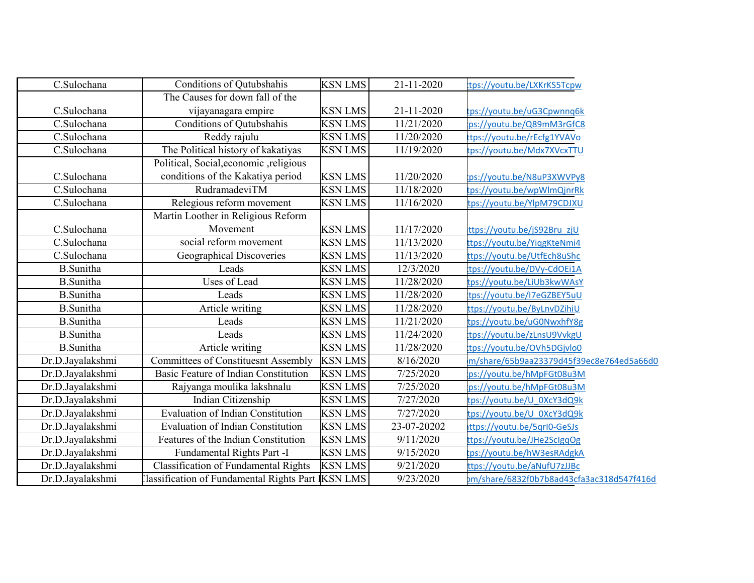| C.Sulochana      | Conditions of Qutubshahis                         | <b>KSN LMS</b> | 21-11-2020           | tps://youtu.be/LXKrKS5Tcpw                |
|------------------|---------------------------------------------------|----------------|----------------------|-------------------------------------------|
|                  | The Causes for down fall of the                   |                |                      |                                           |
| C.Sulochana      | vijayanagara empire                               | <b>KSN LMS</b> | 21-11-2020           | tps://youtu.be/uG3Cpwnnq6k                |
| C.Sulochana      | <b>Conditions of Qutubshahis</b>                  | <b>KSN LMS</b> | 11/21/2020           | ps://youtu.be/Q89mM3rGfC8                 |
| C.Sulochana      | Reddy rajulu                                      | <b>KSN LMS</b> | 11/20/2020           | ttps://youtu.be/rEcfg1YVAVo               |
| C.Sulochana      | The Political history of kakatiyas                | <b>KSN LMS</b> | 11/19/2020           | tps://youtu.be/Mdx7XVcxTTU                |
|                  | Political, Social, economic , religious           |                |                      |                                           |
| C.Sulochana      | conditions of the Kakatiya period                 | <b>KSN LMS</b> | 11/20/2020           | :ps://youtu.be/N8uP3XWVPy8                |
| C.Sulochana      | RudramadeviTM                                     | <b>KSN LMS</b> | 11/18/2020           | tps://youtu.be/wpWlmQjnrRk                |
| C.Sulochana      | Relegious reform movement                         | <b>KSN LMS</b> | 11/16/2020           | tps://youtu.be/YlpM79CDJXU                |
|                  | Martin Loother in Religious Reform                |                |                      |                                           |
| C.Sulochana      | Movement                                          | <b>KSN LMS</b> | 11/17/2020           | ttps://youtu.be/jS92Bru zjU               |
| C.Sulochana      | social reform movement                            | <b>KSN LMS</b> | 11/13/2020           | ttps://youtu.be/YiqgKteNmi4               |
| C.Sulochana      | Geographical Discoveries                          | <b>KSN LMS</b> | 11/13/2020           | ttp <u>s://youtu.be/UtfEch8uShc</u>       |
| <b>B.Sunitha</b> | Leads                                             | <b>KSN LMS</b> | 12/3/2020            | tps://youtu.be/DVy-CdOEi1A                |
| <b>B.Sunitha</b> | <b>Uses of Lead</b>                               | <b>KSN LMS</b> | 11/28/2020           | tps://youtu.be/LiUb3kwWAsY                |
| <b>B.Sunitha</b> | Leads                                             | <b>KSN LMS</b> | 11/28/2020           | tps://youtu.be/I7eGZBEY5uU                |
| <b>B.Sunitha</b> | Article writing                                   | <b>KSN LMS</b> | 11/28/2020           | ttps://youtu.be/ByLnvDZihiU               |
| <b>B.Sunitha</b> | Leads                                             | <b>KSN LMS</b> | 11/21/2020           | tps://youtu.be/uG0NwxhfY8g                |
| <b>B.Sunitha</b> | Leads                                             | <b>KSN LMS</b> | 11/24/2020           | tps://youtu.be/zLnsU9VvkgU                |
| <b>B.Sunitha</b> | Article writing                                   | <b>KSN LMS</b> | 11/28/2020           | tps://youtu.be/OVh5DGjvlo0                |
| Dr.D.Jayalakshmi | <b>Committees of Constituesnt Assembly</b>        | <b>KSN LMS</b> | 8/16/2020            | m/share/65b9aa23379d45f39ec8e764ed5a66d0  |
| Dr.D.Jayalakshmi | Basic Feature of Indian Constitution              | <b>KSN LMS</b> | 7/25/2020            | ps://youtu.be/hMpFGt08u3M                 |
| Dr.D.Jayalakshmi | Rajyanga moulika lakshnalu                        | <b>KSN LMS</b> | 7/25/2020            | ps://youtu.be/hMpFGt08u3M                 |
| Dr.D.Jayalakshmi | Indian Citizenship                                | <b>KSN LMS</b> | 7/27/2020            | tps://youtu.be/U 0XcY3dQ9k                |
| Dr.D.Jayalakshmi | <b>Evaluation of Indian Constitution</b>          | <b>KSN LMS</b> | $\frac{1}{27}{2020}$ | tps://youtu.be/U 0XcY3dQ9k                |
| Dr.D.Jayalakshmi | <b>Evaluation of Indian Constitution</b>          | <b>KSN LMS</b> | 23-07-20202          | ttps://youtu.be/5qrl0-GeSJs               |
| Dr.D.Jayalakshmi | Features of the Indian Constitution               | <b>KSN LMS</b> | 9/11/2020            | ttps://youtu.be/JHe2SclgqOg               |
| Dr.D.Jayalakshmi | Fundamental Rights Part -I                        | <b>KSN LMS</b> | 9/15/2020            | ps://youtu.be/hW3esRAdgkA                 |
| Dr.D.Jayalakshmi | <b>Classification of Fundamental Rights</b>       | <b>KSN LMS</b> | 9/21/2020            | ttps://youtu.be/aNufU7zJJBc               |
| Dr.D.Jayalakshmi | Classification of Fundamental Rights Part KSN LMS |                | 9/23/2020            | om/share/6832f0b7b8ad43cfa3ac318d547f416d |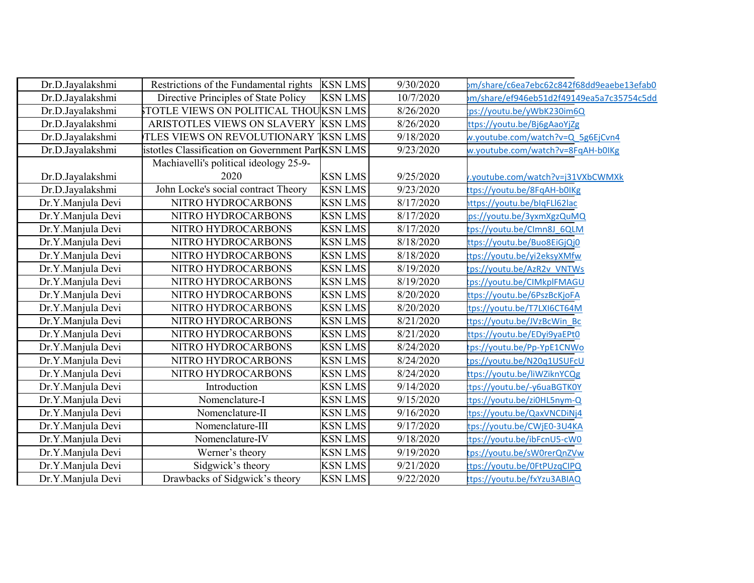| Dr.D.Jayalakshmi  | Restrictions of the Fundamental rights           | <b>KSN LMS</b> | 9/30/2020 | om/share/c6ea7ebc62c842f68dd9eaebe13efab0 |
|-------------------|--------------------------------------------------|----------------|-----------|-------------------------------------------|
| Dr.D.Jayalakshmi  | Directive Principles of State Policy             | <b>KSN LMS</b> | 10/7/2020 | m/share/ef946eb51d2f49149ea5a7c35754c5dd  |
| Dr.D.Jayalakshmi  | STOTLE VIEWS ON POLITICAL THOUKSN LMS            |                | 8/26/2020 | ps://youtu.be/yWbK230im6Q                 |
| Dr.D.Jayalakshmi  | ARISTOTLES VIEWS ON SLAVERY KSN LMS              |                | 8/26/2020 | ttps://youtu.be/Bj6gAaoYjZg               |
| Dr.D.Jayalakshmi  | TLES VIEWS ON REVOLUTIONARY TKSN LMS             |                | 9/18/2020 | w.youtube.com/watch?v=Q 5g6EjCvn4         |
| Dr.D.Jayalakshmi  | istotles Classification on Government ParKSN LMS |                | 9/23/2020 | w.youtube.com/watch?v=8FqAH-b0IKg         |
|                   | Machiavelli's political ideology 25-9-           |                |           |                                           |
| Dr.D.Jayalakshmi  | 2020                                             | <b>KSN LMS</b> | 9/25/2020 | v.youtube.com/watch?v=j31VXbCWMXk         |
| Dr.D.Jayalakshmi  | John Locke's social contract Theory              | <b>KSN LMS</b> | 9/23/2020 | ttps://youtu.be/8FqAH-b0IKg               |
| Dr.Y.Manjula Devi | NITRO HYDROCARBONS                               | <b>KSN LMS</b> | 8/17/2020 | ittps://youtu.be/blqFLl62lac              |
| Dr.Y.Manjula Devi | NITRO HYDROCARBONS                               | <b>KSN LMS</b> | 8/17/2020 | ps://youtu.be/3yxmXgzQuMQ                 |
| Dr.Y.Manjula Devi | NITRO HYDROCARBONS                               | <b>KSN LMS</b> | 8/17/2020 | tps://youtu.be/CImn8J 6QLM                |
| Dr.Y.Manjula Devi | NITRO HYDROCARBONS                               | <b>KSN LMS</b> | 8/18/2020 | ttps://youtu.be/Buo8EiGjQj0               |
| Dr.Y.Manjula Devi | NITRO HYDROCARBONS                               | <b>KSN LMS</b> | 8/18/2020 | tps://youtu.be/yi2eksyXMfw                |
| Dr.Y.Manjula Devi | NITRO HYDROCARBONS                               | <b>KSN LMS</b> | 8/19/2020 | tps://youtu.be/AzR2v VNTWs                |
| Dr.Y.Manjula Devi | NITRO HYDROCARBONS                               | <b>KSN LMS</b> | 8/19/2020 | ps://youtu.be/CIMkplFMAGU                 |
| Dr.Y.Manjula Devi | NITRO HYDROCARBONS                               | <b>KSN LMS</b> | 8/20/2020 | ttps://youtu.be/6PszBcKjoFA               |
| Dr.Y.Manjula Devi | NITRO HYDROCARBONS                               | <b>KSN LMS</b> | 8/20/2020 | tps://youtu.be/T7LXI6CT64M                |
| Dr.Y.Manjula Devi | NITRO HYDROCARBONS                               | <b>KSN LMS</b> | 8/21/2020 | tps://youtu.be/JVzBcWin Bc                |
| Dr.Y.Manjula Devi | NITRO HYDROCARBONS                               | <b>KSN LMS</b> | 8/21/2020 | ttps://youtu.be/EDyi9yaEPt0               |
| Dr.Y.Manjula Devi | NITRO HYDROCARBONS                               | <b>KSN LMS</b> | 8/24/2020 | tps://youtu.be/Pp-YpE1CNWo                |
| Dr.Y.Manjula Devi | NITRO HYDROCARBONS                               | <b>KSN LMS</b> | 8/24/2020 | tps:// <u>youtu.be/N20q1USUFcU</u>        |
| Dr.Y.Manjula Devi | NITRO HYDROCARBONS                               | <b>KSN LMS</b> | 8/24/2020 | ttps://youtu.be/liWZiknYCQg               |
| Dr.Y.Manjula Devi | Introduction                                     | <b>KSN LMS</b> | 9/14/2020 | tps://voutu.be/-y6uaBGTK0Y                |
| Dr.Y.Manjula Devi | Nomenclature-I                                   | <b>KSN LMS</b> | 9/15/2020 | tps://youtu.be/zi0HL5nym-Q                |
| Dr.Y.Manjula Devi | Nomenclature-II                                  | <b>KSN LMS</b> | 9/16/2020 | tps://youtu.be/QaxVNCDiNj4                |
| Dr.Y.Manjula Devi | Nomenclature-III                                 | <b>KSN LMS</b> | 9/17/2020 | tps://youtu.be/CWjE0-3U4KA                |
| Dr.Y.Manjula Devi | Nomenclature-IV                                  | <b>KSN LMS</b> | 9/18/2020 | tps://youtu.be/ibFcnU5-cW0                |
| Dr.Y.Manjula Devi | Werner's theory                                  | <b>KSN LMS</b> | 9/19/2020 | tps://youtu.be/sW0rerQnZVw                |
| Dr.Y.Manjula Devi | Sidgwick's theory                                | <b>KSN LMS</b> | 9/21/2020 | tps://youtu.be/0FtPUzqCIPQ                |
| Dr.Y.Manjula Devi | Drawbacks of Sidgwick's theory                   | <b>KSN LMS</b> | 9/22/2020 | ttps://youtu.be/fxYzu3ABIAQ               |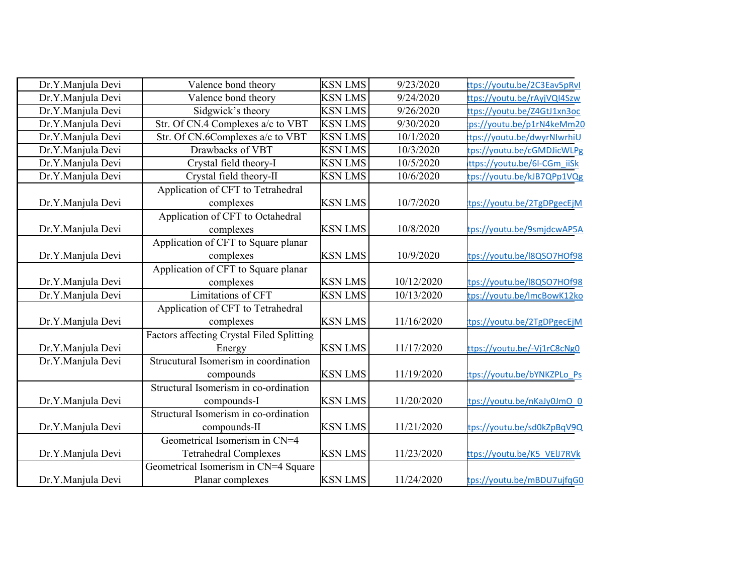| Dr.Y.Manjula Devi | Valence bond theory                       | <b>KSN LMS</b> | 9/23/2020  | ttps://youtu.be/2C3Eav5pRvI |
|-------------------|-------------------------------------------|----------------|------------|-----------------------------|
| Dr.Y.Manjula Devi | Valence bond theory                       | <b>KSN LMS</b> | 9/24/2020  | ttps://youtu.be/rAyjVQI4Szw |
| Dr.Y.Manjula Devi | Sidgwick's theory                         | <b>KSN LMS</b> | 9/26/2020  | ttps://youtu.be/Z4GtJ1xn3oc |
| Dr.Y.Manjula Devi | Str. Of CN.4 Complexes a/c to VBT         | <b>KSN LMS</b> | 9/30/2020  | ps://youtu.be/p1rN4keMm20   |
| Dr.Y.Manjula Devi | Str. Of CN.6Complexes a/c to VBT          | <b>KSN LMS</b> | 10/1/2020  | tps://youtu.be/dwyrNIwrhiU  |
| Dr.Y.Manjula Devi | Drawbacks of VBT                          | <b>KSN LMS</b> | 10/3/2020  | tps://youtu.be/cGMDJicWLPg  |
| Dr.Y.Manjula Devi | Crystal field theory-I                    | <b>KSN LMS</b> | 10/5/2020  | ttps://youtu.be/6l-CGm iiSk |
| Dr.Y.Manjula Devi | Crystal field theory-II                   | <b>KSN LMS</b> | 10/6/2020  | tps://youtu.be/kJB7QPp1VQg  |
|                   | Application of CFT to Tetrahedral         |                |            |                             |
| Dr.Y.Manjula Devi | complexes                                 | <b>KSN LMS</b> | 10/7/2020  | tps://youtu.be/2TgDPgecEjM  |
|                   | Application of CFT to Octahedral          |                |            |                             |
| Dr.Y.Manjula Devi | complexes                                 | <b>KSN LMS</b> | 10/8/2020  | tps://youtu.be/9smjdcwAP5A  |
|                   | Application of CFT to Square planar       |                |            |                             |
| Dr.Y.Manjula Devi | complexes                                 | <b>KSN LMS</b> | 10/9/2020  | tps://youtu.be/l8QSO7HOf98  |
|                   | Application of CFT to Square planar       |                |            |                             |
| Dr.Y.Manjula Devi | complexes                                 | <b>KSN LMS</b> | 10/12/2020 | tps://youtu.be/l8QSO7HOf98  |
| Dr.Y.Manjula Devi | Limitations of CFT                        | <b>KSN LMS</b> | 10/13/2020 | tps://youtu.be/lmcBowK12ko  |
|                   | Application of CFT to Tetrahedral         |                |            |                             |
| Dr.Y.Manjula Devi | complexes                                 | <b>KSN LMS</b> | 11/16/2020 | tps://youtu.be/2TgDPgecEjM  |
|                   | Factors affecting Crystal Filed Splitting |                |            |                             |
| Dr.Y.Manjula Devi | Energy                                    | <b>KSN LMS</b> | 11/17/2020 | ttps://youtu.be/-Vj1rC8cNg0 |
| Dr.Y.Manjula Devi | Strucutural Isomerism in coordination     |                |            |                             |
|                   | compounds                                 | <b>KSN LMS</b> | 11/19/2020 | tps://youtu.be/bYNKZPLo Ps  |
|                   | Structural Isomerism in co-ordination     |                |            |                             |
| Dr.Y.Manjula Devi | compounds-I                               | <b>KSN LMS</b> | 11/20/2020 | tps://youtu.be/nKaJy0JmO 0  |
|                   | Structural Isomerism in co-ordination     |                |            |                             |
| Dr.Y.Manjula Devi | compounds-II                              | <b>KSN LMS</b> | 11/21/2020 | tps://youtu.be/sd0kZpBqV9Q  |
|                   | Geometrical Isomerism in CN=4             |                |            |                             |
| Dr.Y.Manjula Devi | <b>Tetrahedral Complexes</b>              | <b>KSN LMS</b> | 11/23/2020 | ttps://youtu.be/K5 VEIJ7RVk |
|                   | Geometrical Isomerism in CN=4 Square      |                |            |                             |
| Dr.Y.Manjula Devi | Planar complexes                          | <b>KSN LMS</b> | 11/24/2020 | tps://youtu.be/mBDU7ujfqG0  |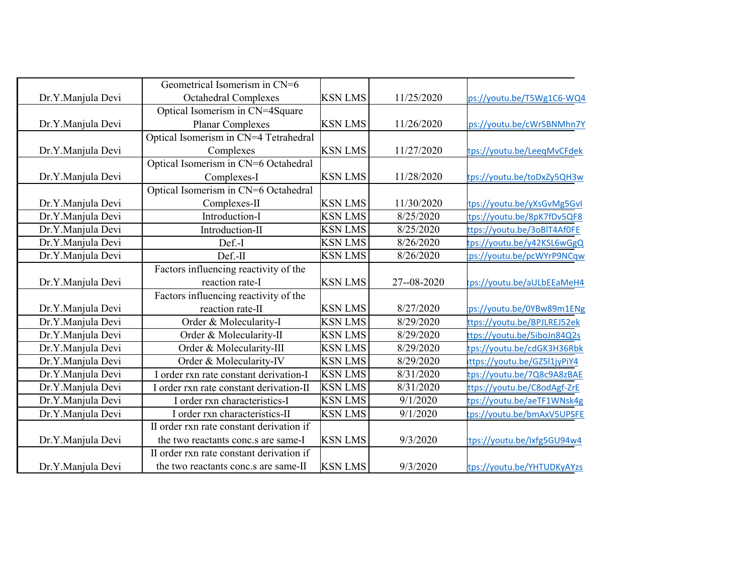|                   | Geometrical Isomerism in CN=6            |                |             |                             |
|-------------------|------------------------------------------|----------------|-------------|-----------------------------|
| Dr.Y.Manjula Devi | <b>Octahedral Complexes</b>              | <b>KSN LMS</b> | 11/25/2020  | ps://youtu.be/T5Wg1C6-WQ4   |
|                   | Optical Isomerism in CN=4Square          |                |             |                             |
| Dr.Y.Manjula Devi | Planar Complexes                         | <b>KSN LMS</b> | 11/26/2020  | :ps://youtu.be/cWrSBNMhn7Y  |
|                   | Optical Isomerism in CN=4 Tetrahedral    |                |             |                             |
| Dr.Y.Manjula Devi | Complexes                                | <b>KSN LMS</b> | 11/27/2020  | tps://youtu.be/LeeqMvCFdek  |
|                   | Optical Isomerism in CN=6 Octahedral     |                |             |                             |
| Dr.Y.Manjula Devi | Complexes-I                              | <b>KSN LMS</b> | 11/28/2020  | tps://youtu.be/toDxZy5QH3w  |
|                   | Optical Isomerism in CN=6 Octahedral     |                |             |                             |
| Dr.Y.Manjula Devi | Complexes-II                             | <b>KSN LMS</b> | 11/30/2020  | tps://youtu.be/yXsGvMg5GvI  |
| Dr.Y.Manjula Devi | Introduction-I                           | <b>KSN LMS</b> | 8/25/2020   | tps://youtu.be/8pK7fDv5QF8  |
| Dr.Y.Manjula Devi | Introduction-II                          | <b>KSN LMS</b> | 8/25/2020   | ttps://youtu.be/3oBIT4Af0FE |
| Dr.Y.Manjula Devi | Def.-I                                   | <b>KSN LMS</b> | 8/26/2020   | tps://youtu.be/y42KSL6wGgQ  |
| Dr.Y.Manjula Devi | Def.-II                                  | <b>KSN LMS</b> | 8/26/2020   | ps://youtu.be/pcWYrP9NCqw:  |
|                   | Factors influencing reactivity of the    |                |             |                             |
| Dr.Y.Manjula Devi | reaction rate-I                          | <b>KSN LMS</b> | 27--08-2020 | tps://youtu.be/aULbEEaMeH4  |
|                   | Factors influencing reactivity of the    |                |             |                             |
| Dr.Y.Manjula Devi | reaction rate-II                         | <b>KSN LMS</b> | 8/27/2020   | :ps://youtu.be/0YBw89m1ENg  |
| Dr.Y.Manjula Devi | Order & Molecularity-I                   | <b>KSN LMS</b> | 8/29/2020   | ttps://youtu.be/BPJLREJ52ek |
| Dr.Y.Manjula Devi | Order & Molecularity-II                  | <b>KSN LMS</b> | 8/29/2020   | ttps://youtu.be/5iboJn84Q2s |
| Dr.Y.Manjula Devi | Order & Molecularity-III                 | <b>KSN LMS</b> | 8/29/2020   | tps://youtu.be/cdGK3H36Rbk  |
| Dr.Y.Manjula Devi | Order & Molecularity-IV                  | <b>KSN LMS</b> | 8/29/2020   | ttps://youtu.be/GZ5l1jyPiY4 |
| Dr.Y.Manjula Devi | I order rxn rate constant derivation-I   | <b>KSN LMS</b> | 8/31/2020   | tps://youtu.be/7Q8c9A8zBAE  |
| Dr.Y.Manjula Devi | I order rxn rate constant derivation-II  | <b>KSN LMS</b> | 8/31/2020   | ttps://youtu.be/C8odAgf-ZrE |
| Dr.Y.Manjula Devi | I order rxn characteristics-I            | <b>KSN LMS</b> | 9/1/2020    | tps://youtu.be/aeTF1WNsk4g  |
| Dr.Y.Manjula Devi | I order rxn characteristics-II           | <b>KSN LMS</b> | 9/1/2020    | tps://youtu.be/bmAxV5UPSFE  |
|                   | II order rxn rate constant derivation if |                |             |                             |
| Dr.Y.Manjula Devi | the two reactants conc.s are same-I      | <b>KSN LMS</b> | 9/3/2020    | tps://youtu.be/lxfg5GU94w4  |
|                   | II order rxn rate constant derivation if |                |             |                             |
| Dr.Y.Manjula Devi | the two reactants conc.s are same-II     | <b>KSN LMS</b> | 9/3/2020    | tps://youtu.be/YHTUDKyAYzs  |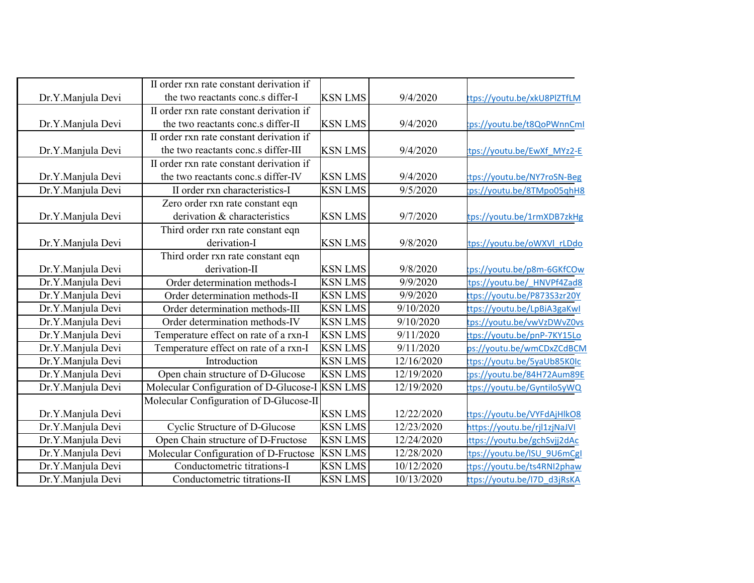|                   | II order rxn rate constant derivation if       |                |            |                              |
|-------------------|------------------------------------------------|----------------|------------|------------------------------|
| Dr.Y.Manjula Devi | the two reactants conc.s differ-I              | <b>KSN LMS</b> | 9/4/2020   | ttps://youtu.be/xkU8PlZTfLM  |
|                   | II order rxn rate constant derivation if       |                |            |                              |
| Dr.Y.Manjula Devi | the two reactants conc.s differ-II             | <b>KSN LMS</b> | 9/4/2020   | ps://youtu.be/t8QoPWnnCml    |
|                   | II order rxn rate constant derivation if       |                |            |                              |
| Dr.Y.Manjula Devi | the two reactants conc.s differ-III            | <b>KSN LMS</b> | 9/4/2020   | tps://youtu.be/EwXf MYz2-E   |
|                   | II order rxn rate constant derivation if       |                |            |                              |
| Dr.Y.Manjula Devi | the two reactants conc.s differ-IV             | <b>KSN LMS</b> | 9/4/2020   | tps://youtu.be/NY7roSN-Beg   |
| Dr.Y.Manjula Devi | II order rxn characteristics-I                 | <b>KSN LMS</b> | 9/5/2020   | ps://youtu.be/8TMpo05qhH8    |
|                   | Zero order rxn rate constant eqn               |                |            |                              |
| Dr.Y.Manjula Devi | derivation & characteristics                   | <b>KSN LMS</b> | 9/7/2020   | tps://youtu.be/1rmXDB7zkHg   |
|                   | Third order rxn rate constant eqn              |                |            |                              |
| Dr.Y.Manjula Devi | derivation-I                                   | <b>KSN LMS</b> | 9/8/2020   | tps://youtu.be/oWXVI rLDdo   |
|                   | Third order rxn rate constant eqn              |                |            |                              |
| Dr.Y.Manjula Devi | derivation-II                                  | <b>KSN LMS</b> | 9/8/2020   | tps://youtu.be/p8m-6GKfCOw   |
| Dr.Y.Manjula Devi | Order determination methods-I                  | <b>KSN LMS</b> | 9/9/2020   | tps://youtu.be/ HNVPf4Zad8   |
| Dr.Y.Manjula Devi | Order determination methods-II                 | <b>KSN LMS</b> | 9/9/2020   | ttps://youtu.be/P873S3zr20Y  |
| Dr.Y.Manjula Devi | Order determination methods-III                | <b>KSN LMS</b> | 9/10/2020  | ttps://youtu.be/LpBiA3gaKwl  |
| Dr.Y.Manjula Devi | Order determination methods-IV                 | <b>KSN LMS</b> | 9/10/2020  | tps://youtu.be/vwVzDWvZ0vs   |
| Dr.Y.Manjula Devi | Temperature effect on rate of a rxn-I          | <b>KSN LMS</b> | 9/11/2020  | ttps://youtu.be/pnP-7KY15Lo  |
| Dr.Y.Manjula Devi | Temperature effect on rate of a rxn-I          | <b>KSN LMS</b> | 9/11/2020  | ps://youtu.be/wmCDxZCdBCM    |
| Dr.Y.Manjula Devi | Introduction                                   | <b>KSN LMS</b> | 12/16/2020 | ttps://youtu.be/5yaUb85K0Ic  |
| Dr.Y.Manjula Devi | Open chain structure of D-Glucose              | <b>KSN LMS</b> | 12/19/2020 | ps://youtu.be/84H72Aum89E    |
| Dr.Y.Manjula Devi | Molecular Configuration of D-Glucose-I KSN LMS |                | 12/19/2020 | tps://youtu.be/GyntiloSyWQ   |
|                   | Molecular Configuration of D-Glucose-II        |                |            |                              |
| Dr.Y.Manjula Devi |                                                | <b>KSN LMS</b> | 12/22/2020 | tps://youtu.be/VYFdAjHlkO8   |
| Dr.Y.Manjula Devi | Cyclic Structure of D-Glucose                  | <b>KSN LMS</b> | 12/23/2020 | https://youtu.be/rjl1zjNaJVI |
| Dr.Y.Manjula Devi | Open Chain structure of D-Fructose             | <b>KSN LMS</b> | 12/24/2020 | ttps://youtu.be/gchSvjj2dAc  |
| Dr.Y.Manjula Devi | Molecular Configuration of D-Fructose          | <b>KSN LMS</b> | 12/28/2020 | tps://youtu.be/ISU 9U6mCgl   |
| Dr.Y.Manjula Devi | Conductometric titrations-I                    | <b>KSN LMS</b> | 10/12/2020 | tps://youtu.be/ts4RNI2phaw   |
| Dr.Y.Manjula Devi | Conductometric titrations-II                   | <b>KSN LMS</b> | 10/13/2020 | ttps://youtu.be/I7D d3jRsKA  |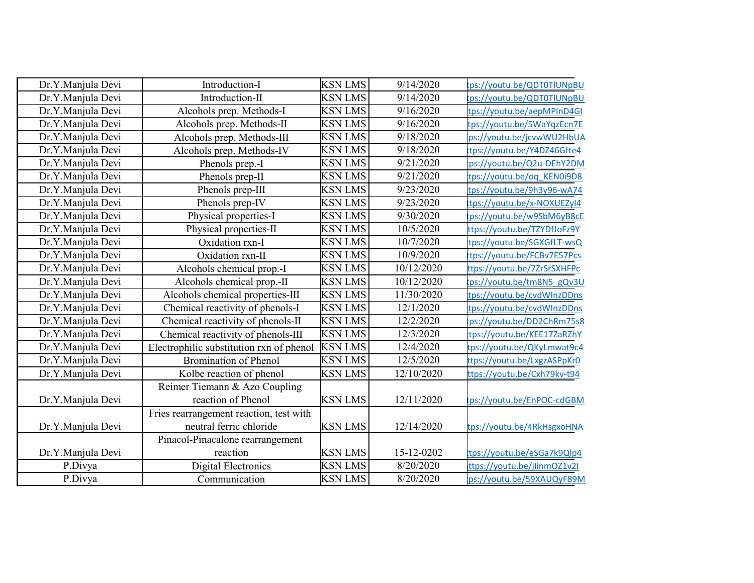| Dr.Y.Manjula Devi | Introduction-I                           | <b>KSN LMS</b> | 9/14/2020  | tps://youtu.be/QDT0TlUNpBU  |
|-------------------|------------------------------------------|----------------|------------|-----------------------------|
| Dr.Y.Manjula Devi | Introduction-II                          | <b>KSN</b> LMS | 9/14/2020  | tps://youtu.be/QDT0TlUNpBU  |
| Dr.Y.Manjula Devi | Alcohols prep. Methods-I                 | <b>KSN LMS</b> | 9/16/2020  | tps://youtu.be/aepMPInD4GI  |
| Dr.Y.Manjula Devi | Alcohols prep. Methods-II                | <b>KSN LMS</b> | 9/16/2020  | tps://youtu.be/5WaYqzEcn7E  |
| Dr.Y.Manjula Devi | Alcohols prep. Methods-III               | <b>KSN LMS</b> | 9/18/2020  | ps://youtu.be/jcvwWU2HbUA   |
| Dr.Y.Manjula Devi | Alcohols prep. Methods-IV                | <b>KSN LMS</b> | 9/18/2020  | tps://youtu.be/Y4DZ46Gfte4  |
| Dr.Y.Manjula Devi | Phenols prep.-I                          | <b>KSN LMS</b> | 9/21/2020  | ps://youtu.be/Q2u-DEhY2DM   |
| Dr.Y.Manjula Devi | Phenols prep-II                          | <b>KSN LMS</b> | 9/21/2020  | tps://youtu.be/oq KEN0i9D8  |
| Dr.Y.Manjula Devi | Phenols prep-III                         | <b>KSN LMS</b> | 9/23/2020  | tps://youtu.be/9h3y96-wA74  |
| Dr.Y.Manjula Devi | Phenols prep-IV                          | <b>KSN LMS</b> | 9/23/2020  | tps://youtu.be/x-NOXUEZyI4  |
| Dr.Y.Manjula Devi | Physical properties-I                    | <b>KSN LMS</b> | 9/30/2020  | tps://youtu.be/w9SbM6yB8cE  |
| Dr.Y.Manjula Devi | Physical properties-II                   | <b>KSN LMS</b> | 10/5/2020  | ttps://youtu.be/TZYDfJoFz9Y |
| Dr.Y.Manjula Devi | Oxidation rxn-I                          | <b>KSN LMS</b> | 10/7/2020  | tps://youtu.be/SGXGfLT-wsQ  |
| Dr.Y.Manjula Devi | Oxidation rxn-II                         | <b>KSN LMS</b> | 10/9/2020  | ttps://youtu.be/FCBv7E57Pcs |
| Dr.Y.Manjula Devi | Alcohols chemical prop.-I                | <b>KSN LMS</b> | 10/12/2020 | ttps://youtu.be/7ZrSrSXHFPc |
| Dr.Y.Manjula Devi | Alcohols chemical prop.-II               | <b>KSN LMS</b> | 10/12/2020 | ps://youtu.be/tm8N5_gQv3U   |
| Dr.Y.Manjula Devi | Alcohols chemical properties-III         | <b>KSN LMS</b> | 11/30/2020 | tps://youtu.be/cvdWInzDDns  |
| Dr.Y.Manjula Devi | Chemical reactivity of phenols-I         | <b>KSN LMS</b> | 12/1/2020  | tps://youtu.be/cvdWInzDDns  |
| Dr.Y.Manjula Devi | Chemical reactivity of phenols-II        | <b>KSN LMS</b> | 12/2/2020  | ps://youtu.be/DD2ChRm75s8   |
| Dr.Y.Manjula Devi | Chemical reactivity of phenols-III       | <b>KSN LMS</b> | 12/3/2020  | tps://youtu.be/KEE17ZaRZhY  |
| Dr.Y.Manjula Devi | Electrophilic substitution rxn of phenol | <b>KSN LMS</b> | 12/4/2020  | tps://youtu.be/QKyLmwat9c4  |
| Dr.Y.Manjula Devi | <b>Bromination of Phenol</b>             | <b>KSN LMS</b> | 12/5/2020  | ttps://youtu.be/LxgzASPpKr0 |
| Dr.Y.Manjula Devi | Kolbe reaction of phenol                 | <b>KSN LMS</b> | 12/10/2020 | ttps://youtu.be/Cxh79kv-t94 |
|                   | Reimer Tiemann & Azo Coupling            |                |            |                             |
| Dr.Y.Manjula Devi | reaction of Phenol                       | <b>KSN LMS</b> | 12/11/2020 | tps://youtu.be/EnPOC-cdGBM  |
|                   | Fries rearrangement reaction, test with  |                |            |                             |
| Dr.Y.Manjula Devi | neutral ferric chloride                  | <b>KSN LMS</b> | 12/14/2020 | tps://youtu.be/4RkHsgxoHNA  |
|                   | Pinacol-Pinacalone rearrangement         |                |            |                             |
| Dr.Y.Manjula Devi | reaction                                 | <b>KSN LMS</b> | 15-12-0202 | tps://youtu.be/eSGa7k9Qlp4  |
| P.Divya           | <b>Digital Electronics</b>               | <b>KSN LMS</b> | 8/20/2020  | ttps://youtu.be/jlinmOZ1v2I |
| P.Divya           | Communication                            | <b>KSN LMS</b> | 8/20/2020  | ps://youtu.be/59XAUQyF89M   |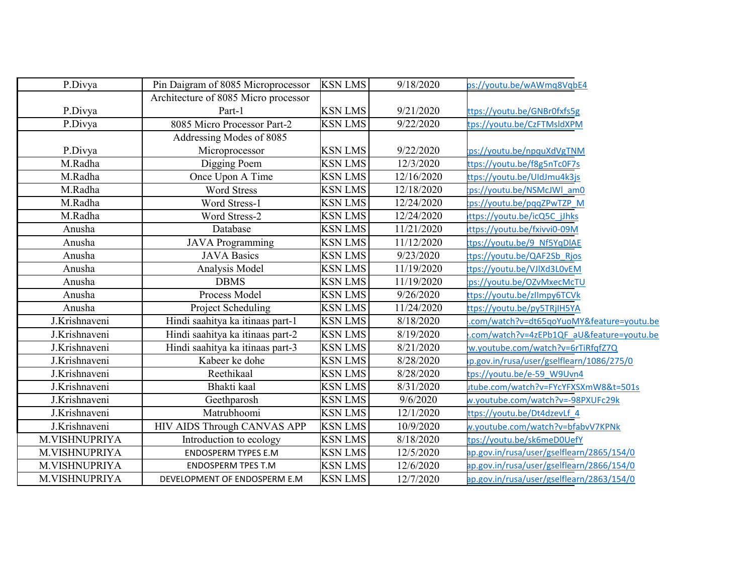| P.Divya       | Pin Daigram of 8085 Microprocessor   | <b>KSN LMS</b> | 9/18/2020  | ps://youtu.be/wAWmq8VqbE4                 |
|---------------|--------------------------------------|----------------|------------|-------------------------------------------|
|               | Architecture of 8085 Micro processor |                |            |                                           |
| P.Divya       | Part-1                               | <b>KSN LMS</b> | 9/21/2020  | ttps://youtu.be/GNBr0fxfs5g               |
| P.Divya       | 8085 Micro Processor Part-2          | <b>KSN LMS</b> | 9/22/2020  | tps://youtu.be/CzFTMsldXPM                |
|               | Addressing Modes of 8085             |                |            |                                           |
| P.Divya       | Microprocessor                       | <b>KSN LMS</b> | 9/22/2020  | ps://youtu.be/npquXdVgTNM                 |
| M.Radha       | Digging Poem                         | <b>KSN LMS</b> | 12/3/2020  | ttps <u>://youtu.be/f8g5nTc0F7s</u>       |
| M.Radha       | Once Upon A Time                     | <b>KSN LMS</b> | 12/16/2020 | ttps://youtu.be/UIdJmu4k3js               |
| M.Radha       | <b>Word Stress</b>                   | <b>KSN LMS</b> | 12/18/2020 | ps://youtu.be/NSMcJWl am0                 |
| M.Radha       | Word Stress-1                        | <b>KSN LMS</b> | 12/24/2020 | ps://youtu.be/pqqZPwTZP M                 |
| M.Radha       | Word Stress-2                        | <b>KSN LMS</b> | 12/24/2020 | ttps://youtu.be/icQ5C jJhks               |
| Anusha        | Database                             | <b>KSN LMS</b> | 11/21/2020 | ttps://youtu.be/fxivvi0-09M               |
| Anusha        | <b>JAVA Programming</b>              | <b>KSN LMS</b> | 11/12/2020 | tps://youtu.be/9 Nf5YqDIAE                |
| Anusha        | <b>JAVA Basics</b>                   | <b>KSN LMS</b> | 9/23/2020  | tps://youtu.be/QAF2Sb Rjos                |
| Anusha        | Analysis Model                       | <b>KSN LMS</b> | 11/19/2020 | tps://youtu.be/VJIXd3L0vEM                |
| Anusha        | <b>DBMS</b>                          | <b>KSN LMS</b> | 11/19/2020 | ps://youtu.be/OZvMxecMcTU                 |
| Anusha        | Process Model                        | <b>KSN LMS</b> | 9/26/2020  | tps://youtu.be/zllmpy6TCVk                |
| Anusha        | Project Scheduling                   | <b>KSN LMS</b> | 11/24/2020 | tps://youtu.be/py5TRjIH5YA                |
| J.Krishnaveni | Hindi saahitya ka itinaas part-1     | <b>KSN LMS</b> | 8/18/2020  | com/watch?v=dt65qoYuoMY&feature=youtu.be  |
| J.Krishnaveni | Hindi saahitya ka itinaas part-2     | <b>KSN LMS</b> | 8/19/2020  | .com/watch?v=4zEPb1QF aU&feature=youtu.be |
| J.Krishnaveni | Hindi saahitya ka itinaas part-3     | <b>KSN LMS</b> | 8/21/2020  | w.youtube.com/watch?v=6rTiRfqfZ7Q         |
| J.Krishnaveni | Kabeer ke dohe                       | <b>KSN LMS</b> | 8/28/2020  | p.gov.in/rusa/user/gselflearn/1086/275/0  |
| J.Krishnaveni | Reethikaal                           | <b>KSN LMS</b> | 8/28/2020  | ps://youtu.be/e-59 W9Uvn4                 |
| J.Krishnaveni | Bhakti kaal                          | <b>KSN LMS</b> | 8/31/2020  | utube.com/watch?v=FYcYFXSXmW8&t=501s      |
| J.Krishnaveni | Geethparosh                          | <b>KSN LMS</b> | 9/6/2020   | w.youtube.com/watch?v=-98PXUFc29k         |
| J.Krishnaveni | Matrubhoomi                          | <b>KSN LMS</b> | 12/1/2020  | ttps://youtu.be/Dt4dzevLf 4               |
| J.Krishnaveni | HIV AIDS Through CANVAS APP          | <b>KSN LMS</b> | 10/9/2020  | w.youtube.com/watch?v=bfabvV7KPNk         |
| M.VISHNUPRIYA | Introduction to ecology              | <b>KSN LMS</b> | 8/18/2020  | tps://youtu.be/sk6meD0UefY                |
| M.VISHNUPRIYA | <b>ENDOSPERM TYPES E.M</b>           | <b>KSN LMS</b> | 12/5/2020  | ap.gov.in/rusa/user/gselflearn/2865/154/0 |
| M.VISHNUPRIYA | <b>ENDOSPERM TPES T.M</b>            | <b>KSN LMS</b> | 12/6/2020  | ap.gov.in/rusa/user/gselflearn/2866/154/0 |
| M.VISHNUPRIYA | DEVELOPMENT OF ENDOSPERM E.M.        | <b>KSN LMS</b> | 12/7/2020  | ap.gov.in/rusa/user/gselflearn/2863/154/0 |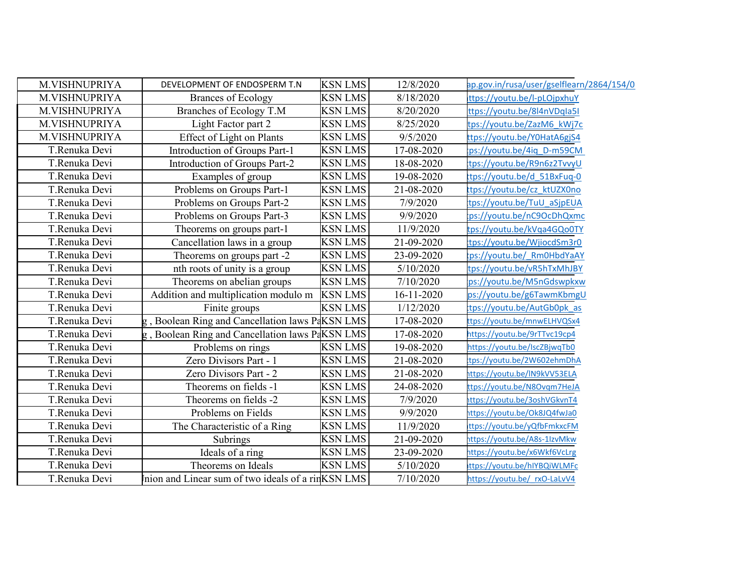| M.VISHNUPRIYA | DEVELOPMENT OF ENDOSPERM T.N                       | <b>KSN LMS</b> | 12/8/2020  | ap.gov.in/rusa/user/gselflearn/2864/154/0 |
|---------------|----------------------------------------------------|----------------|------------|-------------------------------------------|
| M.VISHNUPRIYA | <b>Brances of Ecology</b>                          | <b>KSN LMS</b> | 8/18/2020  | ttps://youtu.be/l-pLOjpxhuY               |
| M.VISHNUPRIYA | Branches of Ecology T.M                            | <b>KSN LMS</b> | 8/20/2020  | ttps://youtu.be/8l4nVDqla5l               |
| M.VISHNUPRIYA | Light Factor part 2                                | <b>KSN LMS</b> | 8/25/2020  | tps://youtu.be/ZazM6 kWj7c                |
| M.VISHNUPRIYA | <b>Effect of Light on Plants</b>                   | <b>KSN LMS</b> | 9/5/2020   | ttps://youtu.be/Y0HatA6gjS4               |
| T.Renuka Devi | Introduction of Groups Part-1                      | <b>KSN LMS</b> | 17-08-2020 | ps://youtu.be/4iq D-m59CM                 |
| T.Renuka Devi | Introduction of Groups Part-2                      | <b>KSN LMS</b> | 18-08-2020 | tps://youtu.be/R9n6z2TvvyU                |
| T.Renuka Devi | Examples of group                                  | <b>KSN LMS</b> | 19-08-2020 | tps://youtu.be/d 51BxFuq-0                |
| T.Renuka Devi | Problems on Groups Part-1                          | <b>KSN LMS</b> | 21-08-2020 | ttps://youtu.be/cz ktUZX0no               |
| T.Renuka Devi | Problems on Groups Part-2                          | <b>KSN LMS</b> | 7/9/2020   | tps://youtu.be/TuU aSjpEUA                |
| T.Renuka Devi | Problems on Groups Part-3                          | <b>KSN LMS</b> | 9/9/2020   | ps://youtu.be/nC9OcDhQxmc                 |
| T.Renuka Devi | Theorems on groups part-1                          | <b>KSN LMS</b> | 11/9/2020  | tps://youtu.be/kVqa4GQo0TY                |
| T.Renuka Devi | Cancellation laws in a group                       | <b>KSN LMS</b> | 21-09-2020 | tps://youtu.be/WjiocdSm3r0                |
| T.Renuka Devi | Theorems on groups part -2                         | <b>KSN LMS</b> | 23-09-2020 | ps://youtu.be/ Rm0HbdYaAY                 |
| T.Renuka Devi | nth roots of unity is a group                      | <b>KSN LMS</b> | 5/10/2020  | tps://youtu.be/vR5hTxMhJBY                |
| T.Renuka Devi | Theorems on abelian groups                         | <b>KSN LMS</b> | 7/10/2020  | ps://youtu.be/M5nGdswpkxw                 |
| T.Renuka Devi | Addition and multiplication modulo m               | <b>KSN LMS</b> | 16-11-2020 | ps://youtu.be/g6TawmKbmgU                 |
| T.Renuka Devi | Finite groups                                      | <b>KSN LMS</b> | 1/12/2020  | tps://youtu.be/AutGb0pk as                |
| T.Renuka Devi | , Boolean Ring and Cancellation laws PaKSN LMS     |                | 17-08-2020 | ttps://youtu.be/mnwELHVQSx4               |
| T.Renuka Devi | Boolean Ring and Cancellation laws PaKSN LMS       |                | 17-08-2020 | https://youtu.be/9rTTvc19cp4              |
| T.Renuka Devi | Problems on rings                                  | <b>KSN LMS</b> | 19-08-2020 | https://youtu.be/IscZBjwqTb0              |
| T.Renuka Devi | Zero Divisors Part - 1                             | <b>KSN LMS</b> | 21-08-2020 | tps://youtu.be/2W602ehmDhA                |
| T.Renuka Devi | Zero Divisors Part - 2                             | <b>KSN LMS</b> | 21-08-2020 | https://youtu.be/IN9kVV53ELA              |
| T.Renuka Devi | Theorems on fields -1                              | <b>KSN LMS</b> | 24-08-2020 | ttps://youtu.be/N8Ovgm7HeJA               |
| T.Renuka Devi | Theorems on fields -2                              | <b>KSN LMS</b> | 7/9/2020   | ittps://youtu.be/3oshVGkvnT4              |
| T.Renuka Devi | Problems on Fields                                 | <b>KSN LMS</b> | 9/9/2020   | https://youtu.be/Ok8JQ4fwJa0              |
| T.Renuka Devi | The Characteristic of a Ring                       | <b>KSN LMS</b> | 11/9/2020  | ttps://youtu.be/yQfbFmkxcFM               |
| T.Renuka Devi | Subrings                                           | <b>KSN LMS</b> | 21-09-2020 | https://youtu.be/A8s-1IzvMkw              |
| T.Renuka Devi | Ideals of a ring                                   | <b>KSN LMS</b> | 23-09-2020 | https://youtu.be/x6Wkf6VcLrg              |
| T.Renuka Devi | Theorems on Ideals                                 | <b>KSN LMS</b> | 5/10/2020  | ttps://youtu.be/hIYBQiWLMFc               |
| T.Renuka Devi | Inion and Linear sum of two ideals of a rinKSN LMS |                | 7/10/2020  | https://youtu.be/ rxO-LaLvV4              |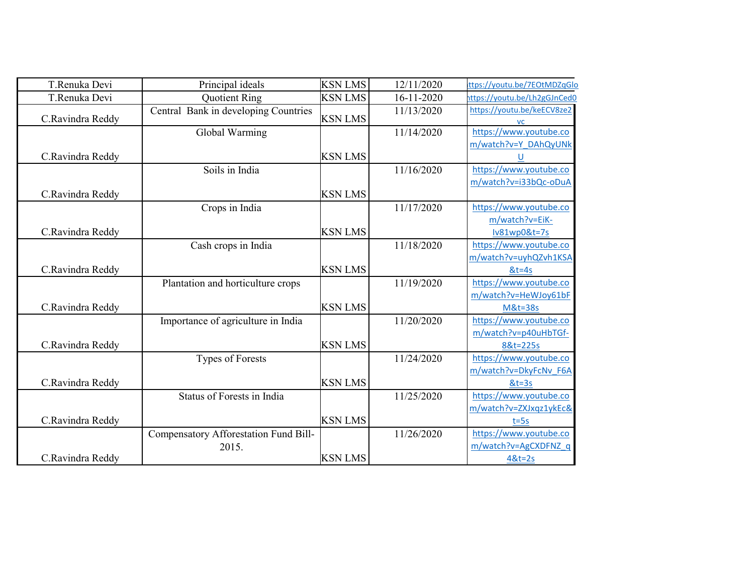| T.Renuka Devi    | Principal ideals                      | <b>KSN LMS</b> | 12/11/2020 | ttps://youtu.be/7EOtMDZqGlo             |
|------------------|---------------------------------------|----------------|------------|-----------------------------------------|
| T.Renuka Devi    | Quotient Ring                         | <b>KSN LMS</b> | 16-11-2020 | nttps://youtu.be/Lh2gGJnCed0            |
| C.Ravindra Reddy | Central Bank in developing Countries  | <b>KSN LMS</b> | 11/13/2020 | https://youtu.be/keECV8ze2<br><b>VC</b> |
|                  | Global Warming                        |                | 11/14/2020 | https://www.youtube.co                  |
|                  |                                       |                |            | m/watch?v=Y_DAhQyUNk                    |
| C.Ravindra Reddy |                                       | <b>KSN LMS</b> |            |                                         |
|                  | Soils in India                        |                | 11/16/2020 | https://www.youtube.co                  |
|                  |                                       |                |            | m/watch?v=i33bQc-oDuA                   |
| C.Ravindra Reddy |                                       | <b>KSN LMS</b> |            |                                         |
|                  | Crops in India                        |                | 11/17/2020 | https://www.youtube.co                  |
|                  |                                       |                |            | m/watch?v=EiK-                          |
| C.Ravindra Reddy |                                       | <b>KSN LMS</b> |            | Iv81wp0&t=7s                            |
|                  | Cash crops in India                   |                | 11/18/2020 | https://www.youtube.co                  |
|                  |                                       |                |            | m/watch?v=uyhQZvh1KSA                   |
| C.Ravindra Reddy |                                       | <b>KSN LMS</b> |            | $&t=4s$                                 |
|                  | Plantation and horticulture crops     |                | 11/19/2020 | https://www.youtube.co                  |
|                  |                                       |                |            | m/watch?v=HeWJoy61bF                    |
| C.Ravindra Reddy |                                       | <b>KSN LMS</b> |            | <b>M&amp;t=38s</b>                      |
|                  | Importance of agriculture in India    |                | 11/20/2020 | https://www.youtube.co                  |
|                  |                                       |                |            | m/watch?v=p40uHbTGf-                    |
| C.Ravindra Reddy |                                       | <b>KSN LMS</b> |            | 8&t=225s                                |
|                  | Types of Forests                      |                | 11/24/2020 | https://www.youtube.co                  |
|                  |                                       |                |            | m/watch?v=DkyFcNv F6A                   |
| C.Ravindra Reddy |                                       | <b>KSN LMS</b> |            | $&t=3s$                                 |
|                  | Status of Forests in India            |                | 11/25/2020 | https://www.youtube.co                  |
|                  |                                       |                |            | m/watch?v=ZXJxqz1ykEc&                  |
| C.Ravindra Reddy |                                       | <b>KSN LMS</b> |            | $t = 5s$                                |
|                  | Compensatory Afforestation Fund Bill- |                | 11/26/2020 | https://www.youtube.co                  |
|                  | 2015.                                 |                |            | m/watch?v=AgCXDFNZ q                    |
| C.Ravindra Reddy |                                       | <b>KSN LMS</b> |            | $48t = 2s$                              |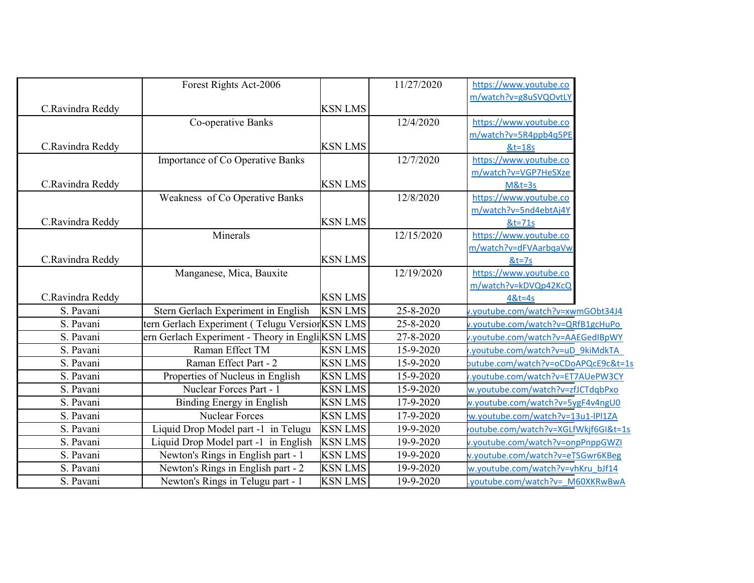|                  | Forest Rights Act-2006                          |                | 11/27/2020 | https://www.youtube.co               |  |
|------------------|-------------------------------------------------|----------------|------------|--------------------------------------|--|
|                  |                                                 |                |            | m/watch?v=g8uSVQOvtLY                |  |
| C.Ravindra Reddy |                                                 | <b>KSN LMS</b> |            |                                      |  |
|                  | Co-operative Banks                              |                | 12/4/2020  | https://www.youtube.co               |  |
|                  |                                                 |                |            | m/watch?v=5R4ppb4q5PE                |  |
| C.Ravindra Reddy |                                                 | <b>KSN LMS</b> |            | $&t=18s$                             |  |
|                  | Importance of Co Operative Banks                |                | 12/7/2020  | https://www.youtube.co               |  |
|                  |                                                 |                |            | m/watch?v=VGP7HeSXze                 |  |
| C.Ravindra Reddy |                                                 | <b>KSN LMS</b> |            | $M&t=3s$                             |  |
|                  | Weakness of Co Operative Banks                  |                | 12/8/2020  | https://www.youtube.co               |  |
|                  |                                                 |                |            | m/watch?v=5nd4ebtAj4Y                |  |
| C.Ravindra Reddy |                                                 | <b>KSN LMS</b> |            | &t=71s                               |  |
|                  | Minerals                                        |                | 12/15/2020 | https://www.youtube.co               |  |
|                  |                                                 |                |            | m/watch?v=dFVAarbgaVw                |  |
| C.Ravindra Reddy |                                                 | <b>KSN LMS</b> |            | $&t=7s$                              |  |
|                  | Manganese, Mica, Bauxite                        |                | 12/19/2020 | https://www.youtube.co               |  |
|                  |                                                 |                |            | m/watch?v=kDVQp42KcQ                 |  |
| C.Ravindra Reddy |                                                 | <b>KSN LMS</b> |            | $48t = 4s$                           |  |
| S. Pavani        | Stern Gerlach Experiment in English             | <b>KSN LMS</b> | 25-8-2020  | v.youtube.com/watch?v=xwmGObt34J4    |  |
| S. Pavani        | tern Gerlach Experiment (Telugu Version KSN LMS |                | 25-8-2020  | v.youtube.com/watch?v=QRfB1gcHuPo    |  |
| S. Pavani        | ern Gerlach Experiment - Theory in EngliKSN LMS |                | 27-8-2020  | v.youtube.com/watch?v=AAEGedIBpWY    |  |
| S. Pavani        | Raman Effect TM                                 | <b>KSN LMS</b> | 15-9-2020  | voutube.com/watch?v=uD 9kiMdkTA      |  |
| S. Pavani        | Raman Effect Part - 2                           | <b>KSN LMS</b> | 15-9-2020  | butube.com/watch?v=oCDoAPQcE9c&t=1s  |  |
| S. Pavani        | Properties of Nucleus in English                | <b>KSN LMS</b> | 15-9-2020  | .youtube.com/watch?v=ET7AUePW3CY     |  |
| S. Pavani        | Nuclear Forces Part - 1                         | <b>KSN LMS</b> | 15-9-2020  | w.youtube.com/watch?v=zfJCTdqbPxo    |  |
| S. Pavani        | Binding Energy in English                       | <b>KSN LMS</b> | 17-9-2020  | w.youtube.com/watch?v=5ygF4v4ngU0    |  |
| S. Pavani        | Nuclear Forces                                  | <b>KSN LMS</b> | 17-9-2020  | w.youtube.com/watch?v=13u1-IPI1ZA    |  |
| S. Pavani        | Liquid Drop Model part -1 in Telugu             | <b>KSN LMS</b> | 19-9-2020  | voutube.com/watch?v=XGLfWkjf6GI&t=1s |  |
| S. Pavani        | Liquid Drop Model part -1 in English            | <b>KSN LMS</b> | 19-9-2020  | v.youtube.com/watch?v=onpPnppGWZI    |  |
| S. Pavani        | Newton's Rings in English part - 1              | <b>KSN LMS</b> | 19-9-2020  | v.youtube.com/watch?v=eTSGwr6KBeg    |  |
| S. Pavani        | Newton's Rings in English part - 2              | <b>KSN LMS</b> | 19-9-2020  | w.youtube.com/watch?v=vhKru bJf14    |  |
| S. Pavani        | Newton's Rings in Telugu part - 1               | <b>KSN LMS</b> | 19-9-2020  | .youtube.com/watch?v= M60XKRwBwA     |  |
|                  |                                                 |                |            |                                      |  |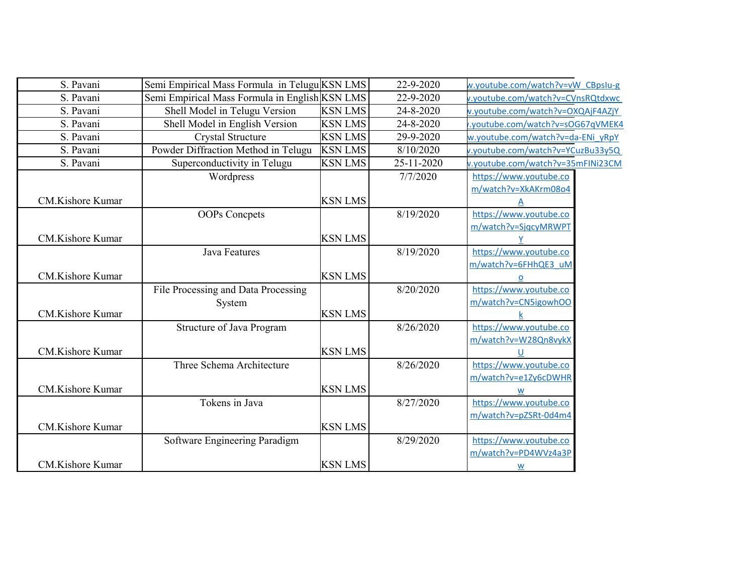| S. Pavani               | Semi Empirical Mass Formula in Telugu KSN LMS  |                | 22-9-2020  | w.youtube.com/watch?v=vW CBpslu-g |  |
|-------------------------|------------------------------------------------|----------------|------------|-----------------------------------|--|
| S. Pavani               | Semi Empirical Mass Formula in English KSN LMS |                | 22-9-2020  | v.youtube.com/watch?v=CVnsRQtdxwc |  |
| S. Pavani               | Shell Model in Telugu Version                  | <b>KSN LMS</b> | 24-8-2020  | v.youtube.com/watch?v=OXQAjF4AZjY |  |
| S. Pavani               | Shell Model in English Version                 | <b>KSN LMS</b> | 24-8-2020  | .youtube.com/watch?v=sOG67qVMEK4  |  |
| S. Pavani               | <b>Crystal Structure</b>                       | <b>KSN LMS</b> | 29-9-2020  | w.youtube.com/watch?v=da-ENi yRpY |  |
| S. Pavani               | Powder Diffraction Method in Telugu            | <b>KSN LMS</b> | 8/10/2020  | v.youtube.com/watch?v=YCuzBu33y5Q |  |
| S. Pavani               | Superconductivity in Telugu                    | <b>KSN LMS</b> | 25-11-2020 | v.youtube.com/watch?v=35mFINi23CM |  |
|                         | Wordpress                                      |                | 7/7/2020   | https://www.youtube.co            |  |
|                         |                                                |                |            | m/watch?v=XkAKrm08o4              |  |
| CM.Kishore Kumar        |                                                | <b>KSN LMS</b> |            |                                   |  |
|                         | <b>OOPs</b> Concpets                           |                | 8/19/2020  | https://www.youtube.co            |  |
|                         |                                                |                |            | m/watch?v=SjqcyMRWPT              |  |
| <b>CM.Kishore Kumar</b> |                                                | <b>KSN LMS</b> |            |                                   |  |
|                         | <b>Java Features</b>                           |                | 8/19/2020  | https://www.youtube.co            |  |
|                         |                                                |                |            | m/watch?v=6FHhQE3 uM              |  |
| CM.Kishore Kumar        |                                                | <b>KSN LMS</b> |            | o                                 |  |
|                         | File Processing and Data Processing            |                | 8/20/2020  | https://www.youtube.co            |  |
|                         | System                                         |                |            | m/watch?v=CN5igowhOO              |  |
| <b>CM.Kishore Kumar</b> |                                                | <b>KSN LMS</b> |            |                                   |  |
|                         | Structure of Java Program                      |                | 8/26/2020  | https://www.youtube.co            |  |
|                         |                                                |                |            | m/watch?v=W28Qn8vykX              |  |
| CM.Kishore Kumar        |                                                | <b>KSN LMS</b> |            | U                                 |  |
|                         | Three Schema Architecture                      |                | 8/26/2020  | https://www.youtube.co            |  |
|                         |                                                |                |            | m/watch?v=e1Zy6cDWHR              |  |
| <b>CM.Kishore Kumar</b> |                                                | <b>KSN LMS</b> |            | W                                 |  |
|                         | Tokens in Java                                 |                | 8/27/2020  | https://www.youtube.co            |  |
|                         |                                                |                |            | m/watch?v=pZSRt-0d4m4             |  |
| <b>CM.Kishore Kumar</b> |                                                | <b>KSN LMS</b> |            |                                   |  |
|                         | Software Engineering Paradigm                  |                | 8/29/2020  | https://www.youtube.co            |  |
|                         |                                                |                |            | m/watch?v=PD4WVz4a3P              |  |
| <b>CM.Kishore Kumar</b> |                                                | <b>KSN LMS</b> |            | W                                 |  |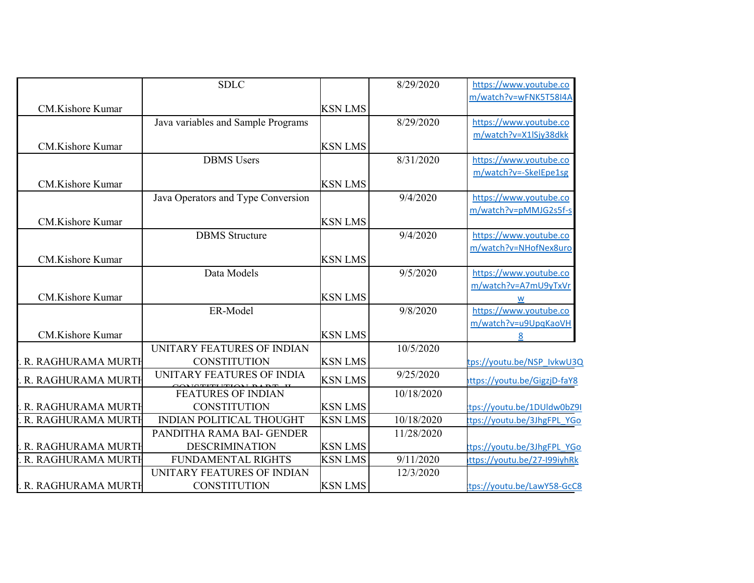|                         | <b>SDLC</b>                        |                | 8/29/2020  | https://www.youtube.co       |
|-------------------------|------------------------------------|----------------|------------|------------------------------|
|                         |                                    |                |            | m/watch?v=wFNK5T58I4A        |
| CM.Kishore Kumar        |                                    | <b>KSN LMS</b> |            |                              |
|                         | Java variables and Sample Programs |                | 8/29/2020  | https://www.youtube.co       |
|                         |                                    |                |            | m/watch?v=X1lSjy38dkk        |
| CM.Kishore Kumar        |                                    | <b>KSN LMS</b> |            |                              |
|                         | <b>DBMS</b> Users                  |                | 8/31/2020  | https://www.youtube.co       |
|                         |                                    |                |            | m/watch?v=-SkeIEpe1sg        |
| CM.Kishore Kumar        |                                    | <b>KSN LMS</b> |            |                              |
|                         | Java Operators and Type Conversion |                | 9/4/2020   | https://www.youtube.co       |
|                         |                                    |                |            | m/watch?v=pMMJG2s5f-s        |
| CM.Kishore Kumar        |                                    | <b>KSN LMS</b> |            |                              |
|                         | <b>DBMS</b> Structure              |                | 9/4/2020   | https://www.youtube.co       |
|                         |                                    |                |            | m/watch?v=NHofNex8uro        |
| CM.Kishore Kumar        |                                    | <b>KSN LMS</b> |            |                              |
|                         | Data Models                        |                | 9/5/2020   | https://www.youtube.co       |
|                         |                                    |                |            | m/watch?v=A7mU9yTxVr         |
| CM.Kishore Kumar        |                                    | <b>KSN LMS</b> |            | W                            |
|                         | ER-Model                           |                | 9/8/2020   | https://www.youtube.co       |
|                         |                                    |                |            | m/watch?v=u9UpqKaoVH         |
| <b>CM.Kishore Kumar</b> |                                    | <b>KSN LMS</b> |            | 8                            |
|                         | UNITARY FEATURES OF INDIAN         |                | 10/5/2020  |                              |
| R. RAGHURAMA MURTH      | <b>CONSTITUTION</b>                | <b>KSN LMS</b> |            | tps://youtu.be/NSP_IvkwU3Q   |
| R. RAGHURAMA MURTH      | UNITARY FEATURES OF INDIA          | <b>KSN LMS</b> | 9/25/2020  | ittps://youtu.be/GigzjD-faY8 |
|                         | <b>EXPLORED INDIAN</b>             |                | 10/18/2020 |                              |
|                         | <b>CONSTITUTION</b>                | <b>KSN LMS</b> |            |                              |
| R. RAGHURAMA MURTH      |                                    |                |            | tps://youtu.be/1DUldw0bZ9I   |
| R. RAGHURAMA MURTH      | <b>INDIAN POLITICAL THOUGHT</b>    | <b>KSN LMS</b> | 10/18/2020 | ttps://youtu.be/3JhgFPL YGo  |
|                         | PANDITHA RAMA BAI- GENDER          |                | 11/28/2020 |                              |
| R. RAGHURAMA MURTH      | <b>DESCRIMINATION</b>              | <b>KSN LMS</b> |            | tps://youtu.be/3JhgFPL YGo   |
| R. RAGHURAMA MURTH      | FUNDAMENTAL RIGHTS                 | <b>KSN LMS</b> | 9/11/2020  | ttps://youtu.be/27-199iyhRk  |
|                         | UNITARY FEATURES OF INDIAN         |                | 12/3/2020  |                              |
| R. RAGHURAMA MURTH      | <b>CONSTITUTION</b>                | <b>KSN LMS</b> |            | tps://youtu.be/LawY58-GcC8   |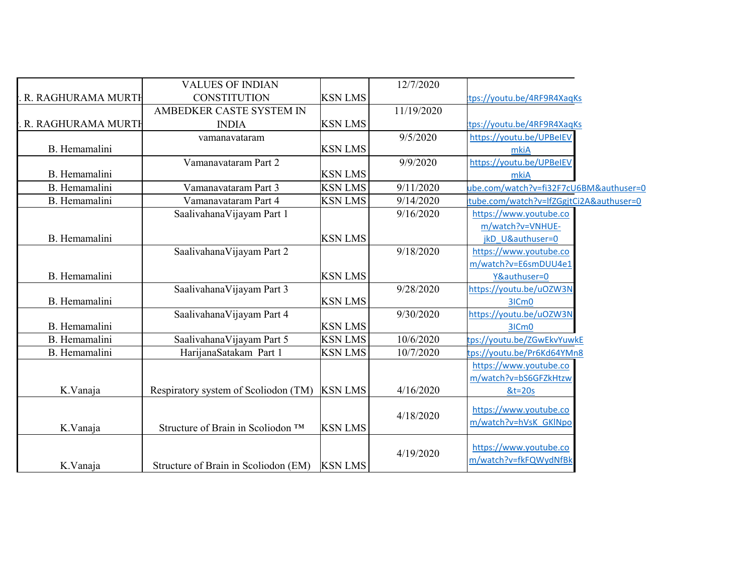|                      | <b>VALUES OF INDIAN</b>              |                | 12/7/2020  |                                         |
|----------------------|--------------------------------------|----------------|------------|-----------------------------------------|
| R. RAGHURAMA MURTH   | <b>CONSTITUTION</b>                  | <b>KSN LMS</b> |            | tps://youtu.be/4RF9R4XaqKs              |
|                      | AMBEDKER CASTE SYSTEM IN             |                | 11/19/2020 |                                         |
| R. RAGHURAMA MURTH   | <b>INDIA</b>                         | <b>KSN LMS</b> |            | tps://youtu.be/4RF9R4XaqKs              |
|                      | vamanavataram                        |                | 9/5/2020   | https://youtu.be/UPBeIEV                |
| B. Hemamalini        |                                      | <b>KSN LMS</b> |            | mkiA                                    |
|                      | Vamanavataram Part 2                 |                | 9/9/2020   | https://youtu.be/UPBeIEV                |
| <b>B.</b> Hemamalini |                                      | <b>KSN LMS</b> |            | mkiA                                    |
| B. Hemamalini        | Vamanavataram Part 3                 | <b>KSN LMS</b> | 9/11/2020  | ube.com/watch?v=fi32F7cU6BM&authuser=0  |
| B. Hemamalini        | Vamanavataram Part 4                 | <b>KSN LMS</b> | 9/14/2020  | tube.com/watch?v=lfZGgjtCi2A&authuser=0 |
|                      | SaalivahanaVijayam Part 1            |                | 9/16/2020  | https://www.youtube.co                  |
|                      |                                      |                |            | m/watch?v=VNHUE-                        |
| B. Hemamalini        |                                      | <b>KSN LMS</b> |            | jkD U&authuser=0                        |
|                      | Saalivahana Vijayam Part 2           |                | 9/18/2020  | https://www.youtube.co                  |
|                      |                                      |                |            | m/watch?v=E6smDUU4e1                    |
| B. Hemamalini        |                                      | <b>KSN LMS</b> |            | Y&authuser=0                            |
|                      | SaalivahanaVijayam Part 3            |                | 9/28/2020  | https://youtu.be/uOZW3N                 |
| B. Hemamalini        |                                      | <b>KSN LMS</b> |            | 3ICm0                                   |
|                      | Saalivahana Vijayam Part 4           |                | 9/30/2020  | https://youtu.be/uOZW3N                 |
| B. Hemamalini        |                                      | <b>KSN LMS</b> |            | 3ICm <sub>0</sub>                       |
| B. Hemamalini        | SaalivahanaVijayam Part 5            | <b>KSN LMS</b> | 10/6/2020  | tps://youtu.be/ZGwEkvYuwkE              |
| B. Hemamalini        | HarijanaSatakam Part 1               | <b>KSN LMS</b> | 10/7/2020  | tps://youtu.be/Pr6Kd64YMn8              |
|                      |                                      |                |            | https://www.youtube.co                  |
|                      |                                      |                |            | m/watch?v=bS6GFZkHtzw                   |
| K.Vanaja             | Respiratory system of Scoliodon (TM) | <b>KSN LMS</b> | 4/16/2020  | $&t=20s$                                |
|                      |                                      |                |            | https://www.youtube.co                  |
|                      | Structure of Brain in Scoliodon ™    | <b>KSN LMS</b> | 4/18/2020  | m/watch?v=hVsK GKlNpo                   |
| K.Vanaja             |                                      |                |            |                                         |
|                      |                                      |                | 4/19/2020  | https://www.youtube.co                  |
| K.Vanaja             | Structure of Brain in Scoliodon (EM) | <b>KSN LMS</b> |            | m/watch?v=fkFQWydNfBk                   |
|                      |                                      |                |            |                                         |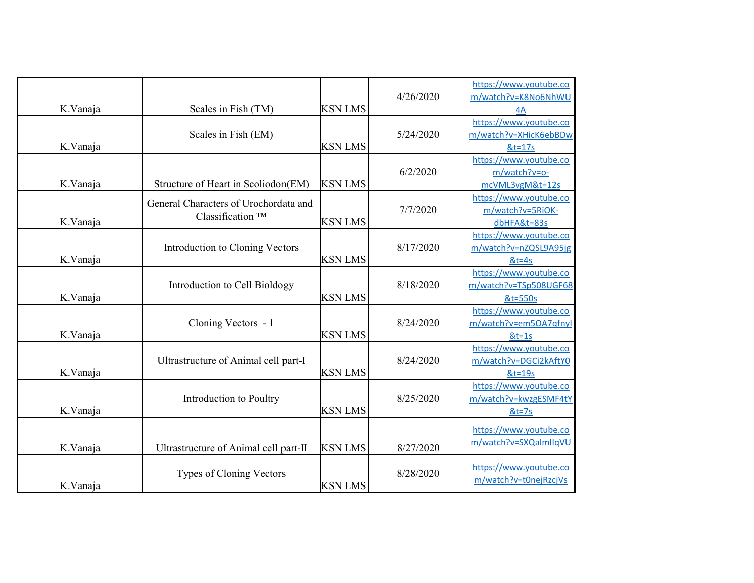| K.Vanaja | Scales in Fish (TM)                                                   | <b>KSN LMS</b> | 4/26/2020 | https://www.youtube.co<br>m/watch?v=K8No6NhWU<br>4A         |
|----------|-----------------------------------------------------------------------|----------------|-----------|-------------------------------------------------------------|
| K.Vanaja | Scales in Fish (EM)                                                   | <b>KSN LMS</b> | 5/24/2020 | https://www.youtube.co<br>m/watch?v=XHicK6ebBDw<br>$&t=17s$ |
| K.Vanaja | Structure of Heart in Scoliodon(EM)                                   | <b>KSN LMS</b> | 6/2/2020  | https://www.youtube.co<br>m/watch?v=o-<br>mcVML3vgM&t=12s   |
| K.Vanaja | General Characters of Urochordata and<br>Classification <sup>TM</sup> | <b>KSN LMS</b> | 7/7/2020  | https://www.youtube.co<br>m/watch?v=5RiOK-<br>dbHFA&t=83s   |
| K.Vanaja | Introduction to Cloning Vectors                                       | <b>KSN LMS</b> | 8/17/2020 | https://www.youtube.co<br>m/watch?v=nZQSL9A95jg<br>$&t=4s$  |
| K.Vanaja | Introduction to Cell Bioldogy                                         | <b>KSN LMS</b> | 8/18/2020 | https://www.youtube.co<br>m/watch?v=TSp508UGF68<br>&t=550s  |
| K.Vanaja | Cloning Vectors - 1                                                   | <b>KSN LMS</b> | 8/24/2020 | https://www.youtube.co<br>m/watch?v=em5OA7qfnyl<br>$&t=1s$  |
| K.Vanaja | Ultrastructure of Animal cell part-I                                  | <b>KSN LMS</b> | 8/24/2020 | https://www.youtube.co<br>m/watch?v=DGCi2kAftY0<br>&t=19s   |
| K.Vanaja | Introduction to Poultry                                               | <b>KSN LMS</b> | 8/25/2020 | https://www.youtube.co<br>m/watch?v=kwzgESMF4tY<br>$8t=7s$  |
| K.Vanaja | Ultrastructure of Animal cell part-II                                 | <b>KSN LMS</b> | 8/27/2020 | https://www.youtube.co<br>m/watch?v=SXQalmllqVU             |
| K.Vanaja | <b>Types of Cloning Vectors</b>                                       | <b>KSN LMS</b> | 8/28/2020 | https://www.youtube.co<br>m/watch?v=t0nejRzcjVs             |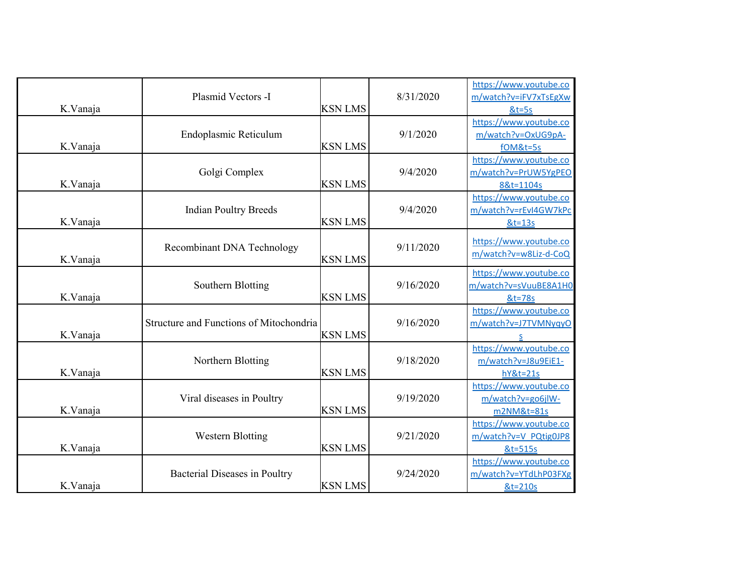| K.Vanaja | Plasmid Vectors -I                      | <b>KSN LMS</b> | 8/31/2020 | https://www.youtube.co<br>m/watch?v=iFV7xTsEgXw<br>$&t=5s$     |
|----------|-----------------------------------------|----------------|-----------|----------------------------------------------------------------|
| K.Vanaja | Endoplasmic Reticulum                   | <b>KSN LMS</b> | 9/1/2020  | https://www.youtube.co<br>m/watch?v=OxUG9pA-<br>fOM&t=5s       |
| K.Vanaja | Golgi Complex                           | <b>KSN LMS</b> | 9/4/2020  | https://www.youtube.co<br>m/watch?v=PrUW5YgPEO<br>8&t=1104s    |
| K.Vanaja | <b>Indian Poultry Breeds</b>            | <b>KSN LMS</b> | 9/4/2020  | https://www.youtube.co<br>m/watch?v=rEvI4GW7kPc<br>&t=13s      |
| K.Vanaja | Recombinant DNA Technology              | <b>KSN LMS</b> | 9/11/2020 | https://www.youtube.co<br>m/watch?v=w8Liz-d-CoQ                |
| K.Vanaja | Southern Blotting                       | <b>KSN LMS</b> | 9/16/2020 | https://www.youtube.co<br>m/watch?v=sVuuBE8A1H0<br>&t=78s      |
| K.Vanaja | Structure and Functions of Mitochondria | <b>KSN LMS</b> | 9/16/2020 | https://www.youtube.co<br>m/watch?v=J7TVMNyqyO<br>S            |
| K.Vanaja | Northern Blotting                       | <b>KSN LMS</b> | 9/18/2020 | https://www.youtube.co<br>m/watch?v=J8u9EiE1-<br>$hY&t=21s$    |
| K.Vanaja | Viral diseases in Poultry               | <b>KSN LMS</b> | 9/19/2020 | https://www.youtube.co<br>m/watch?v=go6jlW-<br>m2NM&t=81s      |
| K.Vanaja | <b>Western Blotting</b>                 | <b>KSN LMS</b> | 9/21/2020 | https://www.youtube.co<br>m/watch?v=V PQtig0JP8<br>$8t = 515s$ |
| K.Vanaja | Bacterial Diseases in Poultry           | <b>KSN LMS</b> | 9/24/2020 | https://www.youtube.co<br>m/watch?v=YTdLhP03FXg<br>&t=210s     |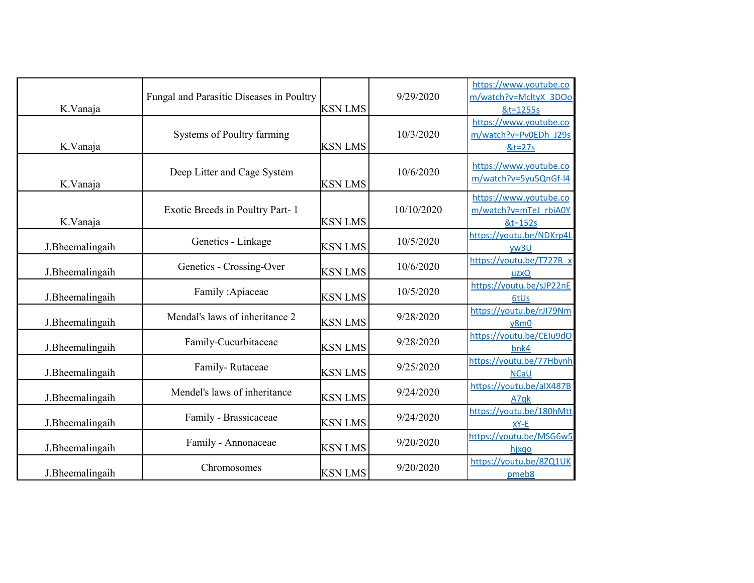| K.Vanaja        | Fungal and Parasitic Diseases in Poultry | <b>KSN LMS</b> | 9/29/2020  | https://www.youtube.co<br>m/watch?v=McltyX 3DOo<br>&t=1255s   |
|-----------------|------------------------------------------|----------------|------------|---------------------------------------------------------------|
| K.Vanaja        | Systems of Poultry farming               | <b>KSN LMS</b> | 10/3/2020  | https://www.youtube.co<br>m/watch?v=Pv0EDh J29s<br>$8t = 27s$ |
| K.Vanaja        | Deep Litter and Cage System              | <b>KSN LMS</b> | 10/6/2020  | https://www.youtube.co<br>m/watch?v=5yu5QnGf-l4               |
| K.Vanaja        | Exotic Breeds in Poultry Part-1          | <b>KSN LMS</b> | 10/10/2020 | https://www.youtube.co<br>m/watch?v=mTeJ_rbiA0Y<br>&t=152s    |
| J.Bheemalingaih | Genetics - Linkage                       | <b>KSN LMS</b> | 10/5/2020  | https://youtu.be/NDKrp4L<br>yw3U                              |
| J.Bheemalingaih | Genetics - Crossing-Over                 | <b>KSN LMS</b> | 10/6/2020  | https://youtu.be/T727R x<br>uzxQ                              |
| J.Bheemalingaih | Family: Apiaceae                         | <b>KSN LMS</b> | 10/5/2020  | https://youtu.be/sJP22nE<br>6tUs                              |
| J.Bheemalingaih | Mendal's laws of inheritance 2           | <b>KSN LMS</b> | 9/28/2020  | https://youtu.be/rJI79Nm<br>y8m0                              |
| J.Bheemalingaih | Family-Cucurbitaceae                     | <b>KSN LMS</b> | 9/28/2020  | https://youtu.be/CEIu9dO<br>bnk4                              |
| J.Bheemalingaih | Family-Rutaceae                          | <b>KSN LMS</b> | 9/25/2020  | https://youtu.be/77Hbynh<br><b>NCaU</b>                       |
| J.Bheemalingaih | Mendel's laws of inheritance             | <b>KSN LMS</b> | 9/24/2020  | https://youtu.be/aIX487B<br>A7qk                              |
| J.Bheemalingaih | Family - Brassicaceae                    | <b>KSN LMS</b> | 9/24/2020  | https://youtu.be/180hMtt<br>xY-E                              |
| J.Bheemalingaih | Family - Annonaceae                      | <b>KSN LMS</b> | 9/20/2020  | https://youtu.be/MSG6w5<br>hjxqo                              |
| J.Bheemalingaih | Chromosomes                              | <b>KSN LMS</b> | 9/20/2020  | https://youtu.be/8ZQ1UK<br>pmeb8                              |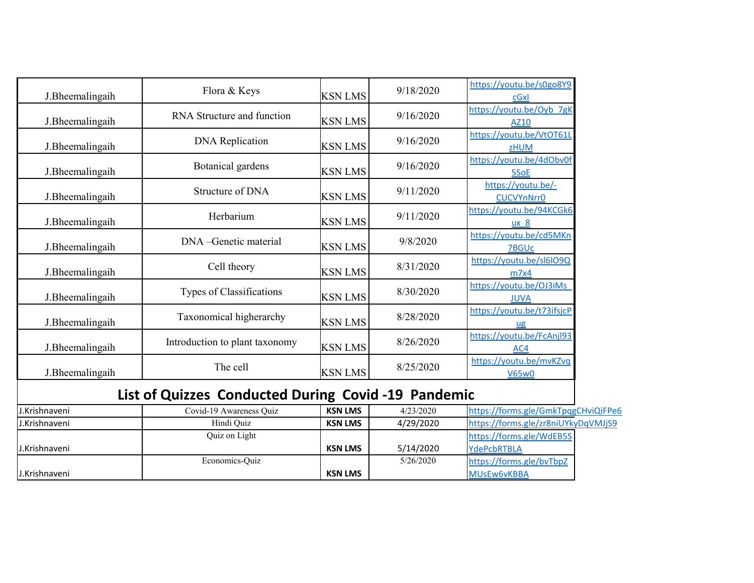| J.Bheemalingaih | Flora & Keys                                        | <b>KSN LMS</b> | 9/18/2020 | https://youtu.be/s0go8Y9<br>cGxl            |
|-----------------|-----------------------------------------------------|----------------|-----------|---------------------------------------------|
| J.Bheemalingaih | RNA Structure and function                          | <b>KSN LMS</b> | 9/16/2020 | https://youtu.be/Oyb 7gK<br>AZ10            |
| J.Bheemalingaih | <b>DNA</b> Replication                              | <b>KSN LMS</b> | 9/16/2020 | https://youtu.be/VtOT61L<br><b>zHUM</b>     |
| J.Bheemalingaih | Botanical gardens                                   | <b>KSN LMS</b> | 9/16/2020 | https://youtu.be/4dObv0f<br>5SoE            |
| J.Bheemalingaih | Structure of DNA                                    | <b>KSN LMS</b> | 9/11/2020 | https://youtu.be/-<br><b>CUCVYnNrr0</b>     |
| J.Bheemalingaih | Herbarium                                           | <b>KSN LMS</b> | 9/11/2020 | https://youtu.be/94KCGk6<br>ux <sub>8</sub> |
| J.Bheemalingaih | DNA - Genetic material                              | <b>KSN LMS</b> | 9/8/2020  | https://youtu.be/cd5MKn<br><b>7BGUc</b>     |
| J.Bheemalingaih | Cell theory                                         | <b>KSN LMS</b> | 8/31/2020 | https://youtu.be/sl6lO9Q<br>m7x4            |
| J.Bheemalingaih | Types of Classifications                            | <b>KSN LMS</b> | 8/30/2020 | https://youtu.be/OJ3iMs<br><b>JUVA</b>      |
| J.Bheemalingaih | Taxonomical higherarchy                             | <b>KSN LMS</b> | 8/28/2020 | https://youtu.be/t73ifsjcP<br>ug            |
| J.Bheemalingaih | Introduction to plant taxonomy                      | <b>KSN LMS</b> | 8/26/2020 | https://youtu.be/FcAnjl93<br>AC4            |
| J.Bheemalingaih | The cell                                            | <b>KSN LMS</b> | 8/25/2020 | https://youtu.be/mvKZvq<br><b>V65w0</b>     |
|                 | List of Quizzes Conducted During Covid -19 Pandemic |                |           |                                             |

## **List of Quizzes Conducted During Covid -19 Pandemic**

| J.Krishnaveni | Covid-19 Awareness Ouiz | <b>KSN LMS</b> | 4/23/2020 | https://forms.gle/GmkTpqgCHviQiFPe6 |  |
|---------------|-------------------------|----------------|-----------|-------------------------------------|--|
| J.Krishnaveni | Hindi Ouiz              | <b>KSN LMS</b> | 4/29/2020 | https://forms.gle/zr8niUYkyDqVMJjS9 |  |
|               | Quiz on Light           |                |           | https://forms.gle/WdEB5S            |  |
| J.Krishnaveni |                         | <b>KSN LMS</b> | 5/14/2020 | YdePcbRTBLA                         |  |
|               | Economics-Ouiz          |                | 5/26/2020 | https://forms.gle/bvTbpZ            |  |
| J.Krishnaveni |                         | <b>KSN LMS</b> |           | <b>MUSEW6vKBBA</b>                  |  |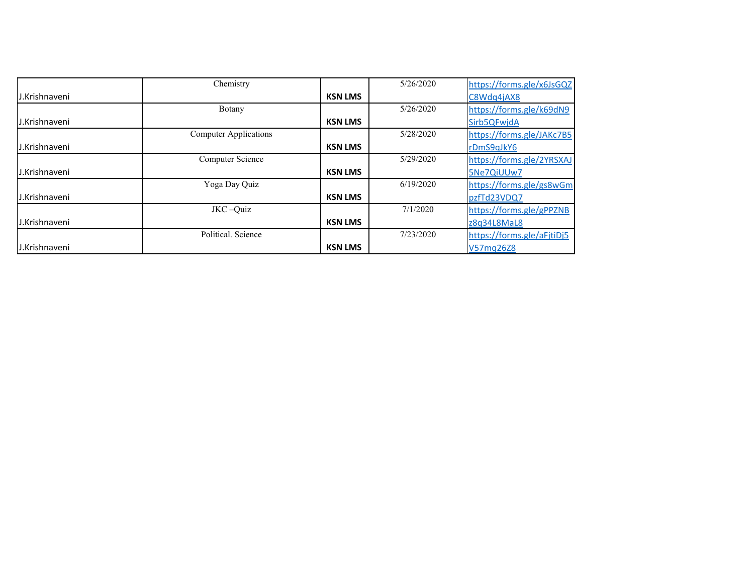|               | Chemistry                    |                | 5/26/2020 | https://forms.gle/x6JsGQZ  |
|---------------|------------------------------|----------------|-----------|----------------------------|
| J.Krishnaveni |                              | <b>KSN LMS</b> |           | C8Wdq4jAX8                 |
|               | Botany                       |                | 5/26/2020 | https://forms.gle/k69dN9   |
| J.Krishnaveni |                              | <b>KSN LMS</b> |           | Sirb5QFwjdA                |
|               | <b>Computer Applications</b> |                | 5/28/2020 | https://forms.gle/JAKc7B5  |
| J.Krishnaveni |                              | <b>KSN LMS</b> |           | rDmS9qJkY6                 |
|               | Computer Science             |                | 5/29/2020 | https://forms.gle/2YRSXAJ  |
| J.Krishnaveni |                              | <b>KSN LMS</b> |           | 5Ne7QiUUw7                 |
|               | Yoga Day Quiz                |                | 6/19/2020 | https://forms.gle/gs8wGm   |
| J.Krishnaveni |                              | <b>KSN LMS</b> |           | pzfTd23VDQ7                |
|               | JKC-Quiz                     |                | 7/1/2020  | https://forms.gle/gPPZNB   |
| J.Krishnaveni |                              | <b>KSN LMS</b> |           | z8q34L8MaL8                |
|               | Political, Science           |                | 7/23/2020 | https://forms.gle/aFjtiDj5 |
| J.Krishnaveni |                              | <b>KSN LMS</b> |           | V57mg26Z8                  |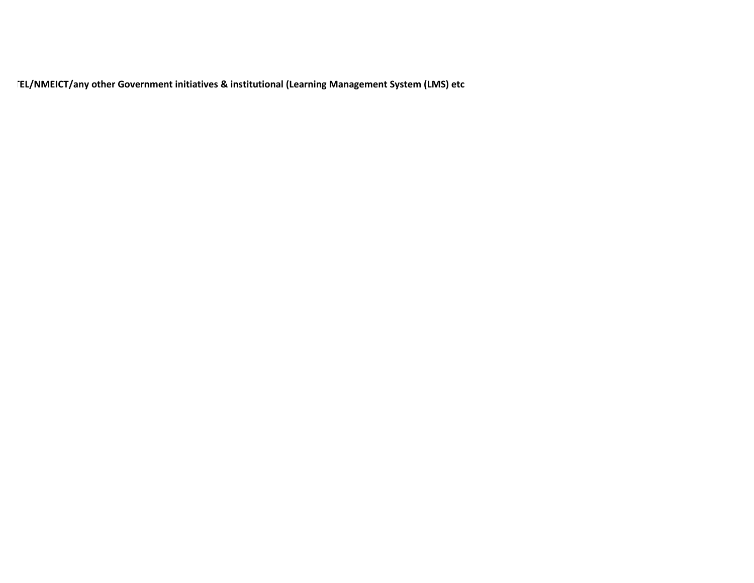**FEL/NMEICT/any other Government initiatives & institutional (Learning Management System (LMS) etc**